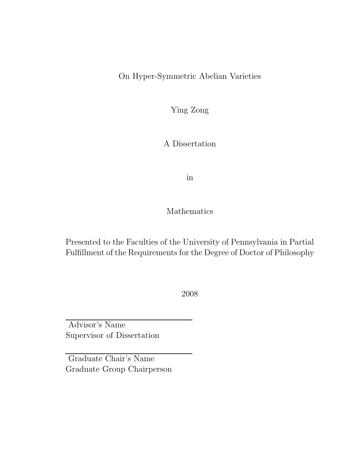On Hyper-Symmetric Abelian Varieties

Ying Zong

A Dissertation

in

Mathematics

Presented to the Faculties of the University of Pennsylvania in Partial Fulfillment of the Requirements for the Degree of Doctor of Philosophy

2008

Advisor's Name Supervisor of Dissertation

Graduate Chair's Name Graduate Group Chairperson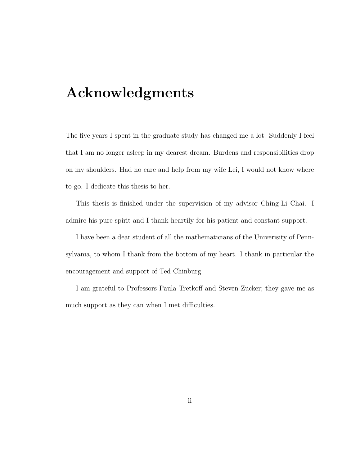### Acknowledgments

The five years I spent in the graduate study has changed me a lot. Suddenly I feel that I am no longer asleep in my dearest dream. Burdens and responsibilities drop on my shoulders. Had no care and help from my wife Lei, I would not know where to go. I dedicate this thesis to her.

This thesis is finished under the supervision of my advisor Ching-Li Chai. I admire his pure spirit and I thank heartily for his patient and constant support.

I have been a dear student of all the mathematicians of the Univerisity of Pennsylvania, to whom I thank from the bottom of my heart. I thank in particular the encouragement and support of Ted Chinburg.

I am grateful to Professors Paula Tretkoff and Steven Zucker; they gave me as much support as they can when I met difficulties.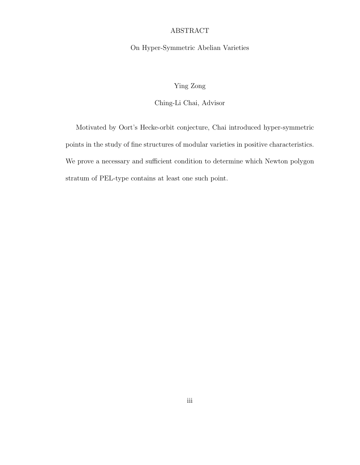#### ABSTRACT

#### On Hyper-Symmetric Abelian Varieties

Ying Zong

#### Ching-Li Chai, Advisor

Motivated by Oort's Hecke-orbit conjecture, Chai introduced hyper-symmetric points in the study of fine structures of modular varieties in positive characteristics. We prove a necessary and sufficient condition to determine which Newton polygon stratum of PEL-type contains at least one such point.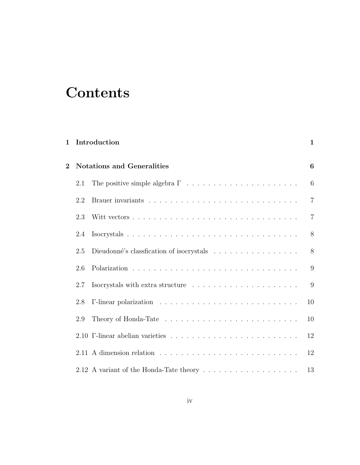# **Contents**

| $\mathbf 1$    |     | Introduction                                                                        | $\mathbf{1}$   |
|----------------|-----|-------------------------------------------------------------------------------------|----------------|
| $\overline{2}$ |     | <b>Notations and Generalities</b>                                                   | 6              |
|                | 2.1 |                                                                                     | 6              |
|                | 2.2 |                                                                                     | $\overline{7}$ |
|                | 2.3 |                                                                                     | $\overline{7}$ |
|                | 2.4 |                                                                                     | 8              |
|                | 2.5 | Dieudonné's classfication of isocrystals                                            | 8              |
|                | 2.6 |                                                                                     | 9              |
|                | 2.7 | Isocrystals with extra structure $\ldots \ldots \ldots \ldots \ldots \ldots \ldots$ | 9              |
|                | 2.8 |                                                                                     | 10             |
|                | 2.9 |                                                                                     | 10             |
|                |     |                                                                                     | 12             |
|                |     |                                                                                     | 12             |
|                |     | 2.12 A variant of the Honda-Tate theory $\dots \dots \dots \dots \dots \dots$       | 13             |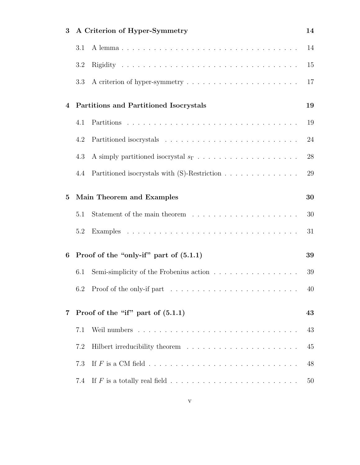| 3        |     | A Criterion of Hyper-Symmetry                                                | 14 |
|----------|-----|------------------------------------------------------------------------------|----|
|          | 3.1 |                                                                              | 14 |
|          | 3.2 |                                                                              | 15 |
|          | 3.3 |                                                                              | 17 |
| 4        |     | Partitions and Partitioned Isocrystals                                       | 19 |
|          | 4.1 |                                                                              | 19 |
|          | 4.2 |                                                                              | 24 |
|          | 4.3 |                                                                              | 28 |
|          | 4.4 |                                                                              | 29 |
| $\bf{5}$ |     | Main Theorem and Examples                                                    | 30 |
|          | 5.1 |                                                                              | 30 |
|          | 5.2 |                                                                              | 31 |
| 6        |     | Proof of the "only-if" part of $(5.1.1)$                                     | 39 |
|          | 6.1 | Semi-simplicity of the Frobenius action $\ldots \ldots \ldots \ldots \ldots$ | 39 |
|          |     |                                                                              | 40 |
| 7        |     | Proof of the "if" part of $(5.1.1)$                                          | 43 |
|          | 7.1 |                                                                              | 43 |
|          | 7.2 |                                                                              | 45 |
|          | 7.3 |                                                                              | 48 |
|          | 7.4 |                                                                              | 50 |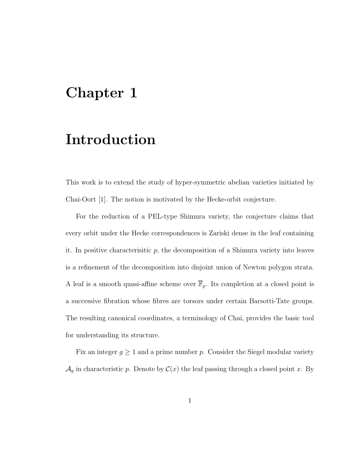### Chapter 1

## Introduction

This work is to extend the study of hyper-symmetric abelian varieties initiated by Chai-Oort [1]. The notion is motivated by the Hecke-orbit conjecture.

For the reduction of a PEL-type Shimura variety, the conjecture claims that every orbit under the Hecke correspondences is Zariski dense in the leaf containing it. In positive characterisitic  $p$ , the decomposition of a Shimura variety into leaves is a refinement of the decomposition into disjoint union of Newton polygon strata. A leaf is a smooth quasi-affine scheme over  $\overline{\mathbb{F}}_p$ . Its completion at a closed point is a successive fibration whose fibres are torsors under certain Barsotti-Tate groups. The resulting canonical coordinates, a terminology of Chai, provides the basic tool for understanding its structure.

Fix an integer  $g \geq 1$  and a prime number p. Consider the Siegel modular variety  $\mathcal{A}_g$  in characteristic p. Denote by  $\mathcal{C}(x)$  the leaf passing through a closed point x. By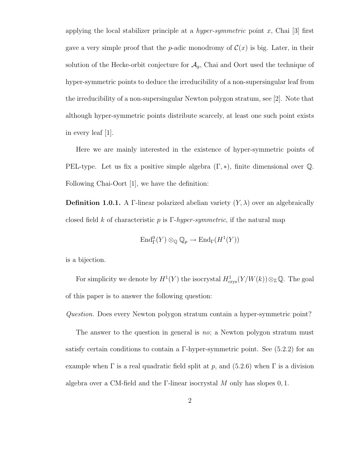applying the local stabilizer principle at a *hyper-symmetric* point x, Chai [3] first gave a very simple proof that the *p*-adic monodromy of  $\mathcal{C}(x)$  is big. Later, in their solution of the Hecke-orbit conjecture for  $A<sub>g</sub>$ , Chai and Oort used the technique of hyper-symmetric points to deduce the irreducibility of a non-supersingular leaf from the irreducibility of a non-supersingular Newton polygon stratum, see [2]. Note that although hyper-symmetric points distribute scarcely, at least one such point exists in every leaf [1].

Here we are mainly interested in the existence of hyper-symmetric points of PEL-type. Let us fix a positive simple algebra  $(\Gamma, *)$ , finite dimensional over  $\mathbb{Q}$ . Following Chai-Oort [1], we have the definition:

**Definition 1.0.1.** A Γ-linear polarized abelian variety  $(Y, \lambda)$  over an algebraically closed field k of characteristic p is  $\Gamma$ -hyper-symmetric, if the natural map

$$
\mathrm{End}^0_\Gamma(Y)\otimes_{\mathbb{Q}}\mathbb{Q}_p\to\mathrm{End}_\Gamma(H^1(Y))
$$

is a bijection.

For simplicity we denote by  $H^1(Y)$  the isocrystal  $H^1_{\text{crys}}(Y/W(k))\otimes_{\mathbb{Z}}\mathbb{Q}$ . The goal of this paper is to answer the following question:

Question. Does every Newton polygon stratum contain a hyper-symmetric point?

The answer to the question in general is no; a Newton polygon stratum must satisfy certain conditions to contain a  $\Gamma$ -hyper-symmetric point. See (5.2.2) for an example when  $\Gamma$  is a real quadratic field split at p, and (5.2.6) when  $\Gamma$  is a division algebra over a CM-field and the  $\Gamma$ -linear isocrystal M only has slopes 0, 1.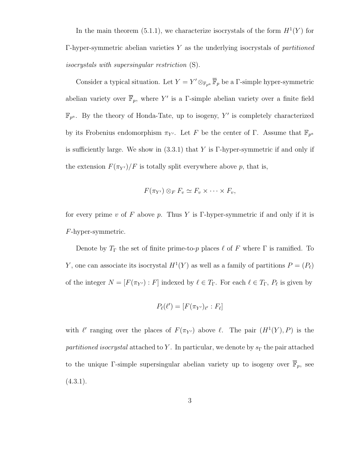In the main theorem (5.1.1), we characterize isocrystals of the form  $H^1(Y)$  for  $\Gamma$ -hyper-symmetric abelian varieties Y as the underlying isocrystals of partitioned isocrystals with supersingular restriction (S).

Consider a typical situation. Let  $Y = Y' \otimes_{\mathbb{F}_{p^a}} \overline{\mathbb{F}}_p$  be a  $\Gamma$ -simple hyper-symmetric abelian variety over  $\overline{\mathbb{F}}_p$ , where Y' is a Γ-simple abelian variety over a finite field  $\mathbb{F}_{p^a}$ . By the theory of Honda-Tate, up to isogeny, Y' is completely characterized by its Frobenius endomorphism  $\pi_{Y'}$ . Let F be the center of Γ. Assume that  $\mathbb{F}_{p^a}$ is sufficiently large. We show in  $(3.3.1)$  that Y is Γ-hyper-symmetric if and only if the extension  $F(\pi_{Y'})/F$  is totally split everywhere above p, that is,

$$
F(\pi_{Y'})\otimes_F F_v \simeq F_v \times \cdots \times F_v,
$$

for every prime v of F above p. Thus Y is Γ-hyper-symmetric if and only if it is F-hyper-symmetric.

Denote by  $T_{\Gamma}$  the set of finite prime-to-p places  $\ell$  of F where  $\Gamma$  is ramified. To Y, one can associate its isocrystal  $H^1(Y)$  as well as a family of partitions  $P = (P_\ell)$ of the integer  $N = [F(\pi_{Y'}) : F]$  indexed by  $\ell \in T_{\Gamma}$ . For each  $\ell \in T_{\Gamma}$ ,  $P_{\ell}$  is given by

$$
P_{\ell}(\ell')=[F(\pi_{Y'})_{\ell'}:F_{\ell}]
$$

with  $\ell'$  ranging over the places of  $F(\pi_{Y'})$  above  $\ell$ . The pair  $(H^1(Y), P)$  is the partitioned isocrystal attached to Y. In particular, we denote by  $s_{\Gamma}$  the pair attached to the unique Γ-simple supersingular abelian variety up to isogeny over  $\overline{\mathbb{F}}_p$ , see  $(4.3.1).$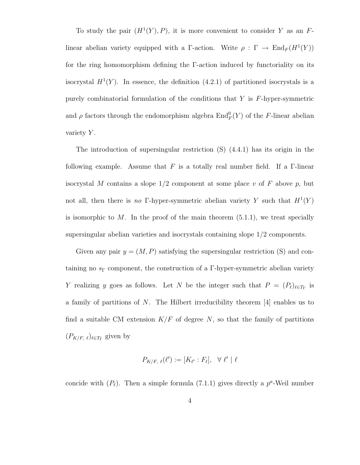To study the pair  $(H^1(Y), P)$ , it is more convenient to consider Y as an Flinear abelian variety equipped with a Γ-action. Write  $\rho : \Gamma \to \text{End}_F(H^1(Y))$ for the ring homomorphism defining the Γ-action induced by functoriality on its isocrystal  $H^1(Y)$ . In essence, the definition (4.2.1) of partitioned isocrystals is a purely combinatorial formulation of the conditions that  $Y$  is  $F$ -hyper-symmetric and  $\rho$  factors through the endomorphism algebra  $\text{End}_F^0(Y)$  of the F-linear abelian variety  $Y$ .

The introduction of supersingular restriction (S) (4.4.1) has its origin in the following example. Assume that  $F$  is a totally real number field. If a  $\Gamma$ -linear isocrystal M contains a slope  $1/2$  component at some place v of F above p, but not all, then there is no  $\Gamma$ -hyper-symmetric abelian variety Y such that  $H^1(Y)$ is isomorphic to M. In the proof of the main theorem  $(5.1.1)$ , we treat specially supersingular abelian varieties and isocrystals containing slope 1/2 components.

Given any pair  $y = (M, P)$  satisfying the supersingular restriction (S) and containing no  $s_{\Gamma}$  component, the construction of a  $\Gamma$ -hyper-symmetric abelian variety Y realizing y goes as follows. Let N be the integer such that  $P = (P_\ell)_{\ell \in T_\Gamma}$  is a family of partitions of N. The Hilbert irreducibility theorem [4] enables us to find a suitable CM extension  $K/F$  of degree N, so that the family of partitions  $(P_{K/F, \ell})_{\ell \in T_{\Gamma}}$  given by

$$
P_{K/F, \ell}(\ell') := [K_{\ell'} : F_{\ell}], \ \ \forall \ \ell' \mid \ell
$$

concide with  $(P_\ell)$ . Then a simple formula (7.1.1) gives directly a  $p^a$ -Weil number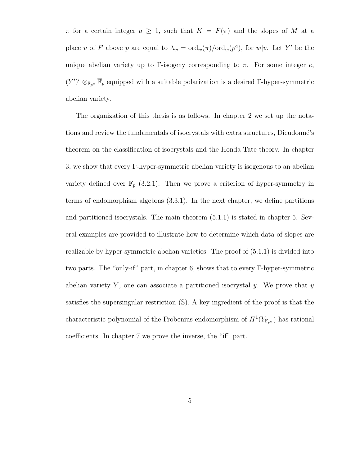$\pi$  for a certain integer  $a \geq 1$ , such that  $K = F(\pi)$  and the slopes of M at a place v of F above p are equal to  $\lambda_w = \text{ord}_w(\pi)/\text{ord}_w(p^a)$ , for  $w|v$ . Let Y' be the unique abelian variety up to Γ-isogeny corresponding to  $\pi$ . For some integer e,  $(Y')^e \otimes_{\mathbb{F}_{p^a}} \overline{\mathbb{F}}_p$  equipped with a suitable polarization is a desired Γ-hyper-symmetric abelian variety.

The organization of this thesis is as follows. In chapter 2 we set up the notations and review the fundamentals of isocrystals with extra structures, Dieudonné's theorem on the classification of isocrystals and the Honda-Tate theory. In chapter 3, we show that every Γ-hyper-symmetric abelian variety is isogenous to an abelian variety defined over  $\overline{\mathbb{F}}_p$  (3.2.1). Then we prove a criterion of hyper-symmetry in terms of endomorphism algebras (3.3.1). In the next chapter, we define partitions and partitioned isocrystals. The main theorem (5.1.1) is stated in chapter 5. Several examples are provided to illustrate how to determine which data of slopes are realizable by hyper-symmetric abelian varieties. The proof of (5.1.1) is divided into two parts. The "only-if" part, in chapter 6, shows that to every Γ-hyper-symmetric abelian variety  $Y$ , one can associate a partitioned isocrystal  $y$ . We prove that  $y$ satisfies the supersingular restriction (S). A key ingredient of the proof is that the characteristic polynomial of the Frobenius endomorphism of  $H^1(Y_{\mathbb{F}_{p^a}})$  has rational coefficients. In chapter 7 we prove the inverse, the "if" part.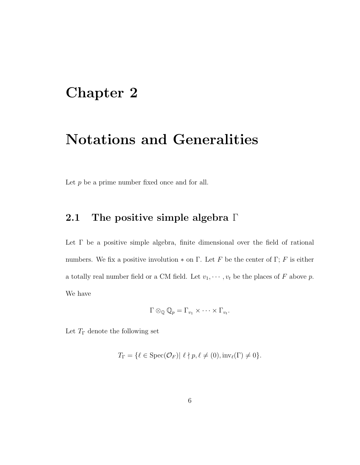### Chapter 2

## Notations and Generalities

Let  $p$  be a prime number fixed once and for all.

### 2.1 The positive simple algebra  $\Gamma$

Let  $\Gamma$  be a positive simple algebra, finite dimensional over the field of rational numbers. We fix a positive involution  $*$  on  $\Gamma$ . Let F be the center of  $\Gamma$ ; F is either a totally real number field or a CM field. Let  $v_1, \dots, v_t$  be the places of F above p. We have

$$
\Gamma\otimes_{\mathbb{Q}}\mathbb{Q}_p=\Gamma_{v_1}\times\cdots\times\Gamma_{v_t}.
$$

Let  $T_{\Gamma}$  denote the following set

$$
T_{\Gamma} = \{ \ell \in \text{Spec}(\mathcal{O}_F) | \ell \nmid p, \ell \neq (0), \text{inv}_{\ell}(\Gamma) \neq 0 \}.
$$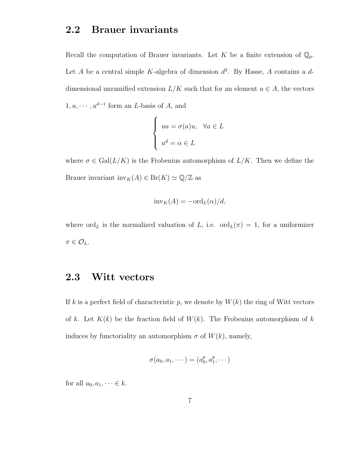#### 2.2 Brauer invariants

Recall the computation of Brauer invariants. Let K be a finite extension of  $\mathbb{Q}_p$ . Let A be a central simple K-algebra of dimension  $d^2$ . By Hasse, A contains a ddimensional unramified extension  $L/K$  such that for an element  $u \in A$ , the vectors  $1, u, \dots, u^{d-1}$  form an L-basis of A, and

$$
\begin{cases}\nua = \sigma(a)u, & \forall a \in L \\
u^d = \alpha \in L\n\end{cases}
$$

where  $\sigma \in \text{Gal}(L/K)$  is the Frobenius automorphism of  $L/K$ . Then we define the Brauer invariant  $inv_K(A) \in Br(K) \simeq \mathbb{Q}/\mathbb{Z}$  as

$$
inv_K(A) = -\text{ord}_L(\alpha)/d,
$$

where ord<sub>L</sub> is the normalized valuation of L, i.e.  $\text{ord}_{\mathbb{L}}(\pi) = 1$ , for a uniformizer  $\pi \in \mathcal{O}_L$ .

#### 2.3 Witt vectors

If k is a perfect field of characteristic p, we denote by  $W(k)$  the ring of Witt vectors of k. Let  $K(k)$  be the fraction field of  $W(k)$ . The Frobenius automorphism of k induces by functoriality an automorphism  $\sigma$  of  $W(k)$ , namely,

$$
\sigma(a_0, a_1, \dots) = (a_0^p, a_1^p, \dots)
$$

for all  $a_0, a_1, \dots \in k$ .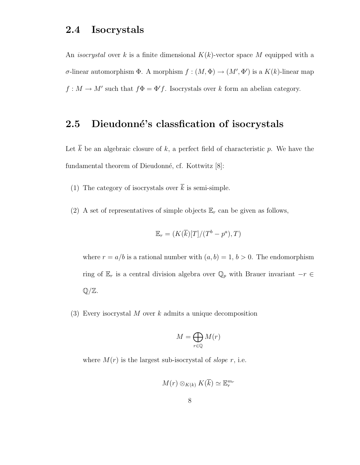#### 2.4 Isocrystals

An *isocrystal* over k is a finite dimensional  $K(k)$ -vector space M equipped with a σ-linear automorphism  $\Phi$ . A morphism  $f : (M, \Phi) \to (M', \Phi')$  is a  $K(k)$ -linear map  $f: M \to M'$  such that  $f\Phi = \Phi'f$ . Isocrystals over k form an abelian category.

#### 2.5 Dieudonné's classfication of isocrystals

Let  $\overline{k}$  be an algebraic closure of k, a perfect field of characteristic p. We have the fundamental theorem of Dieudonné, cf. Kottwitz [8]:

- (1) The category of isocrystals over  $\overline{k}$  is semi-simple.
- (2) A set of representatives of simple objects  $\mathbb{E}_r$  can be given as follows,

$$
\mathbb{E}_r = (K(\overline{k})[T]/(T^b - p^a), T)
$$

where  $r = a/b$  is a rational number with  $(a, b) = 1, b > 0$ . The endomorphism ring of  $\mathbb{E}_r$  is a central division algebra over  $\mathbb{Q}_p$  with Brauer invariant  $-r \in$  $\mathbb{Q}/\mathbb{Z}$ .

(3) Every isocrystal  $M$  over  $k$  admits a unique decomposition

$$
M = \bigoplus_{r \in \mathbb{Q}} M(r)
$$

where  $M(r)$  is the largest sub-isocrystal of *slope* r, i.e.

$$
M(r) \otimes_{K(k)} K(\overline{k}) \simeq \mathbb{E}_{r}^{m_{r}}
$$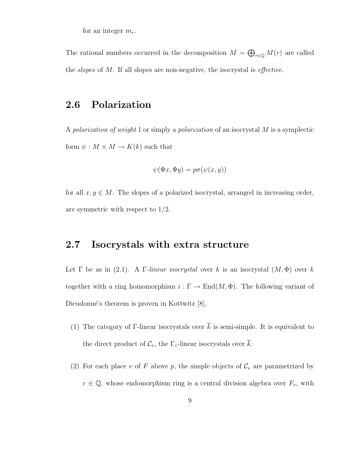for an integer  $m_r$ .

The rational numbers occurred in the decomposition  $M = \bigoplus_{r \in \mathbb{Q}} M(r)$  are called the *slopes* of  $M$ . If all slopes are non-negative, the isocrystal is *effective*.

### 2.6 Polarization

A polarization of weight 1 or simply a polarization of an isocrystal M is a symplectic form  $\psi : M \times M \to K(k)$  such that

$$
\psi(\Phi x, \Phi y) = p\sigma(\psi(x, y))
$$

for all  $x, y \in M$ . The slopes of a polarized isocrystal, arranged in increasing order, are symmetric with respect to 1/2.

#### 2.7 Isocrystals with extra structure

Let  $\Gamma$  be as in (2.1). A  $\Gamma$ -linear isocrystal over k is an isocrystal  $(M, \Phi)$  over k together with a ring homomorphism  $i : \Gamma \to \text{End}(M, \Phi)$ . The following variant of Dieudonné's theorem is proven in Kottwitz [8],

- (1) The category of Γ-linear isocrystals over  $\bar{k}$  is semi-simple. It is equivalent to the direct product of  $\mathcal{C}_v$ , the  $\Gamma_v$ -linear isocrystals over  $\overline{k}$ .
- (2) For each place v of F above p, the simple objects of  $\mathcal{C}_v$  are parametrized by  $r \in \mathbb{Q}$ , whose endomorphism ring is a central division algebra over  $F_v$ , with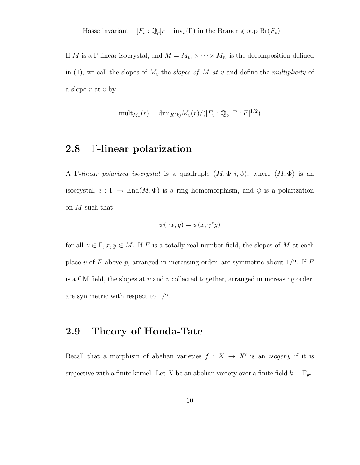Hasse invariant  $-[F_v : \mathbb{Q}_p]r - \text{inv}_v(\Gamma)$  in the Brauer group Br( $F_v$ ).

If M is a Γ-linear isocrystal, and  $M = M_{v_1} \times \cdots \times M_{v_t}$  is the decomposition defined in (1), we call the slopes of  $M_v$  the *slopes of*  $M$  at  $v$  and define the *multiplicity* of a slope  $r$  at  $v$  by

$$
\mathrm{mult}_{M_v}(r) = \mathrm{dim}_{K(k)} M_v(r) / ([F_v : \mathbb{Q}_p][\Gamma : F]^{1/2})
$$

#### 2.8 Γ-linear polarization

A Γ-linear polarized isocrystal is a quadruple  $(M, \Phi, i, \psi)$ , where  $(M, \Phi)$  is an isocrystal,  $i : \Gamma \to \text{End}(M, \Phi)$  is a ring homomorphism, and  $\psi$  is a polarization on M such that

$$
\psi(\gamma x, y) = \psi(x, \gamma^* y)
$$

for all  $\gamma \in \Gamma, x, y \in M$ . If F is a totally real number field, the slopes of M at each place v of F above p, arranged in increasing order, are symmetric about  $1/2$ . If F is a CM field, the slopes at v and  $\overline{v}$  collected together, arranged in increasing order, are symmetric with respect to 1/2.

#### 2.9 Theory of Honda-Tate

Recall that a morphism of abelian varieties  $f : X \to X'$  is an *isogeny* if it is surjective with a finite kernel. Let X be an abelian variety over a finite field  $k = \mathbb{F}_{p^a}$ .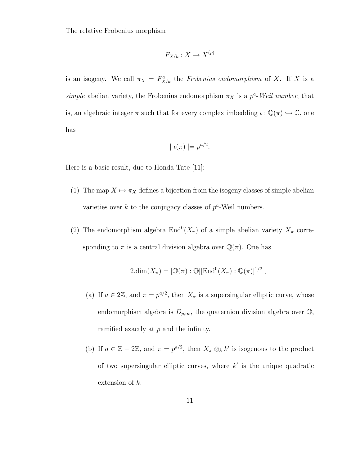The relative Frobenius morphism

$$
F_{X/k}: X \to X^{(p)}
$$

is an isogeny. We call  $\pi_X = F_{X/k}^a$  the *Frobenius endomorphism* of X. If X is a simple abelian variety, the Frobenius endomorphism  $\pi_X$  is a  $p^a$ -Weil number, that is, an algebraic integer  $\pi$  such that for every complex imbedding  $\iota : \mathbb{Q}(\pi) \hookrightarrow \mathbb{C}$ , one has

$$
| \iota(\pi) | = p^{a/2}.
$$

Here is a basic result, due to Honda-Tate [11]:

- (1) The map  $X \mapsto \pi_X$  defines a bijection from the isogeny classes of simple abelian varieties over  $k$  to the conjugacy classes of  $p^a$ -Weil numbers.
- (2) The endomorphism algebra  $\text{End}^0(X_\pi)$  of a simple abelian variety  $X_\pi$  corresponding to  $\pi$  is a central division algebra over  $\mathbb{Q}(\pi)$ . One has

$$
2.\dim(X_{\pi}) = [\mathbb{Q}(\pi):\mathbb{Q}][\mathrm{End}^{0}(X_{\pi}):\mathbb{Q}(\pi)]^{1/2}
$$

.

- (a) If  $a \in 2\mathbb{Z}$ , and  $\pi = p^{a/2}$ , then  $X_{\pi}$  is a supersingular elliptic curve, whose endomorphism algebra is  $D_{p,\infty}$ , the quaternion division algebra over  $\mathbb{Q}$ , ramified exactly at  $p$  and the infinity.
- (b) If  $a \in \mathbb{Z} 2\mathbb{Z}$ , and  $\pi = p^{a/2}$ , then  $X_{\pi} \otimes_k k'$  is isogenous to the product of two supersingular elliptic curves, where  $k'$  is the unique quadratic extension of k.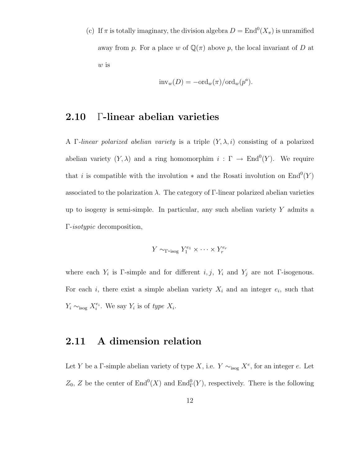(c) If  $\pi$  is totally imaginary, the division algebra  $D = \text{End}^0(X_{\pi})$  is unramified away from p. For a place w of  $\mathbb{Q}(\pi)$  above p, the local invariant of D at w is

$$
inv_w(D) = -\text{ord}_w(\pi)/\text{ord}_w(p^a).
$$

#### 2.10 Γ-linear abelian varieties

A Γ-linear polarized abelian variety is a triple  $(Y, \lambda, i)$  consisting of a polarized abelian variety  $(Y, \lambda)$  and a ring homomorphim  $i : \Gamma \to \text{End}^0(Y)$ . We require that i is compatible with the involution  $*$  and the Rosati involution on  $\text{End}^0(Y)$ associated to the polarization  $\lambda$ . The category of Γ-linear polarized abelian varieties up to isogeny is semi-simple. In particular, any such abelian variety  $Y$  admits a Γ-isotypic decomposition,

$$
Y \sim_{\Gamma\text{-}\mathrm{isog}} Y_1^{e_1} \times \cdots \times Y_r^{e_r}
$$

where each  $Y_i$  is Γ-simple and for different i, j,  $Y_i$  and  $Y_j$  are not Γ-isogenous. For each i, there exist a simple abelian variety  $X_i$  and an integer  $e_i$ , such that  $Y_i \sim_{\text{isog}} X_i^{e_i}$ . We say  $Y_i$  is of type  $X_i$ .

#### 2.11 A dimension relation

Let Y be a Γ-simple abelian variety of type X, i.e.  $Y \sim_{\text{isog}} X^e$ , for an integer e. Let  $Z_0$ , Z be the center of  $\text{End}^0(X)$  and  $\text{End}_\Gamma^0(Y)$ , respectively. There is the following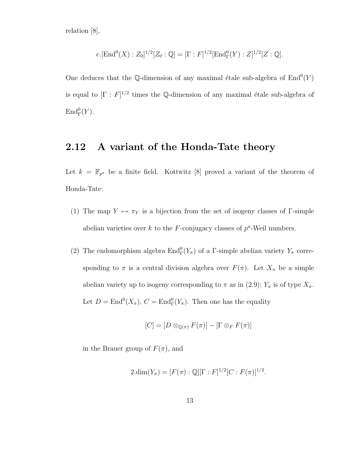relation [8],

$$
e.[\text{End}^0(X):Z_0]^{1/2}[Z_0:\mathbb{Q}]=[\Gamma:F]^{1/2}[\text{End}_\Gamma^0(Y):Z]^{1/2}[Z:\mathbb{Q}].
$$

One deduces that the Q-dimension of any maximal étale sub-algebra of  $\text{End}^0(Y)$ is equal to  $[\Gamma : F]^{1/2}$  times the Q-dimension of any maximal étale sub-algebra of  $\mathrm{End}^0_\Gamma(Y).$ 

#### 2.12 A variant of the Honda-Tate theory

Let  $k = \mathbb{F}_{p^a}$  be a finite field. Kottwitz [8] proved a variant of the theorem of Honda-Tate:

- (1) The map  $Y \mapsto \pi_Y$  is a bijection from the set of isogeny classes of Γ-simple abelian varieties over  $k$  to the  $F$ -conjugacy classes of  $p^a$ -Weil numbers.
- (2) The endomorphism algebra  $\text{End}_{\Gamma}^{0}(Y_{\pi})$  of a *Γ*-simple abelian variety  $Y_{\pi}$  corresponding to  $\pi$  is a central division algebra over  $F(\pi)$ . Let  $X_{\pi}$  be a simple abelian variety up to isogeny corresponding to  $\pi$  as in (2.9);  $Y_{\pi}$  is of type  $X_{\pi}$ . Let  $D = \text{End}^0(X_\pi)$ ,  $C = \text{End}^0_\Gamma(Y_\pi)$ . Then one has the equality

$$
[C] = [D \otimes_{\mathbb{Q}(\pi)} F(\pi)] - [\Gamma \otimes_F F(\pi)]
$$

in the Brauer group of  $F(\pi)$ , and

$$
2.\dim(Y_{\pi}) = [F(\pi) : \mathbb{Q}][\Gamma : F]^{1/2}[C : F(\pi)]^{1/2}.
$$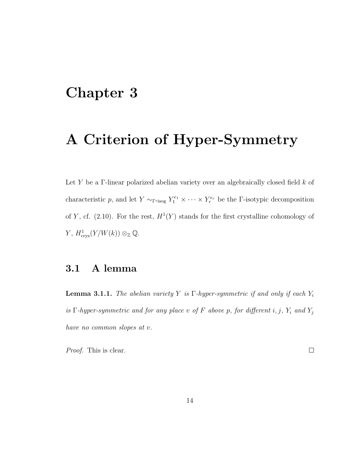### Chapter 3

### A Criterion of Hyper-Symmetry

Let Y be a  $\Gamma$ -linear polarized abelian variety over an algebraically closed field  $k$  of characteristic p, and let  $Y \sim_{\Gamma\text{-}isog} Y_1^{e_1} \times \cdots \times Y_r^{e_r}$  be the  $\Gamma\text{-}isotypic$  decomposition of Y, cf. (2.10). For the rest,  $H^1(Y)$  stands for the first crystalline cohomology of  $Y, H_{\text{crys}}^1(Y/W(k)) \otimes_{\mathbb{Z}} \mathbb{Q}.$ 

#### 3.1 A lemma

**Lemma 3.1.1.** The abelian variety Y is  $\Gamma$ -hyper-symmetric if and only if each  $Y_i$ is  $\Gamma$ -hyper-symmetric and for any place v of  $F$  above p, for different i, j,  $Y_i$  and  $Y_j$ have no common slopes at v.

Proof. This is clear.

 $\Box$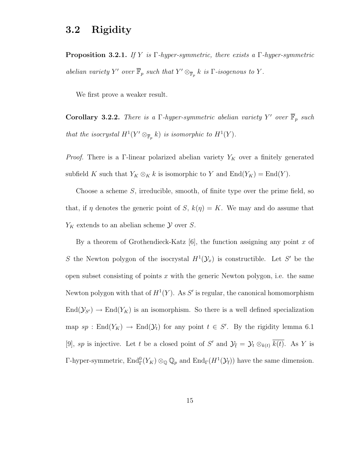#### 3.2 Rigidity

**Proposition 3.2.1.** If Y is  $\Gamma$ -hyper-symmetric, there exists a  $\Gamma$ -hyper-symmetric abelian variety Y' over  $\overline{\mathbb{F}}_p$  such that  $Y' \otimes_{\overline{\mathbb{F}}_p} k$  is  $\Gamma$ -isogenous to Y.

We first prove a weaker result.

**Corollary 3.2.2.** There is a  $\Gamma$ -hyper-symmetric abelian variety Y' over  $\overline{\mathbb{F}}_p$  such that the isocrystal  $H^1(Y' \otimes_{\overline{\mathbb{F}}_p} k)$  is isomorphic to  $H^1(Y)$ .

*Proof.* There is a Γ-linear polarized abelian variety  $Y_K$  over a finitely generated subfield K such that  $Y_K \otimes_K k$  is isomorphic to Y and  $\text{End}(Y_K) = \text{End}(Y)$ .

Choose a scheme  $S$ , irreducible, smooth, of finite type over the prime field, so that, if  $\eta$  denotes the generic point of S,  $k(\eta) = K$ . We may and do assume that  $Y_K$  extends to an abelian scheme  $\mathcal Y$  over S.

By a theorem of Grothendieck-Katz  $[6]$ , the function assigning any point x of S the Newton polygon of the isocrystal  $H^1(\mathcal{Y}_x)$  is constructible. Let S' be the open subset consisting of points  $x$  with the generic Newton polygon, i.e. the same Newton polygon with that of  $H^1(Y)$ . As S' is regular, the canonical homomorphism  $\text{End}(\mathcal{Y}_{S'}) \to \text{End}(Y_K)$  is an isomorphism. So there is a well defined specialization map  $sp: \text{End}(Y_K) \to \text{End}(\mathcal{Y}_t)$  for any point  $t \in S'$ . By the rigidity lemma 6.1 [9], sp is injective. Let t be a closed point of S' and  $\mathcal{Y}_t = \mathcal{Y}_t \otimes_{k(t)} \overline{k(t)}$ . As Y is  $\Gamma$ -hyper-symmetric,  $\text{End}_{\Gamma}^{0}(Y_K) \otimes_{\mathbb{Q}} \mathbb{Q}_p$  and  $\text{End}_{\Gamma}(H^1(\mathcal{Y}_{\bar{t}}))$  have the same dimension.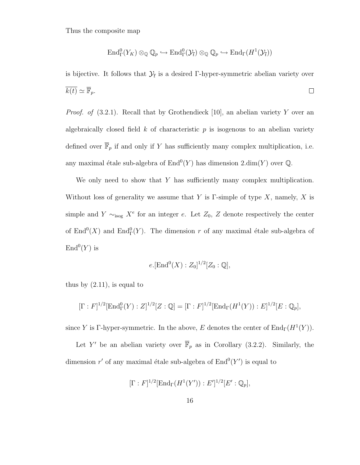Thus the composite map

$$
\text{End}^0_{\Gamma}(Y_K) \otimes_{\mathbb{Q}} \mathbb{Q}_p \hookrightarrow \text{End}^0_{\Gamma}(\mathcal{Y}_{\bar{t}}) \otimes_{\mathbb{Q}} \mathbb{Q}_p \hookrightarrow \text{End}_{\Gamma}(H^1(\mathcal{Y}_{\bar{t}}))
$$

is bijective. It follows that  $\mathcal{Y}_{\bar{t}}$  is a desired  $\Gamma$ -hyper-symmetric abelian variety over  $\overline{k(t)} \simeq \overline{\mathbb{F}}_p.$  $\Box$ 

*Proof. of*  $(3.2.1)$ . Recall that by Grothendieck [10], an abelian variety Y over an algebraically closed field  $k$  of characteristic  $p$  is isogenous to an abelian variety defined over  $\overline{\mathbb{F}}_p$  if and only if Y has sufficiently many complex multiplication, i.e. any maximal étale sub-algebra of  $\text{End}^0(Y)$  has dimension  $2.\text{dim}(Y)$  over  $\mathbb{Q}$ .

We only need to show that Y has sufficiently many complex multiplication. Without loss of generality we assume that Y is  $\Gamma$ -simple of type X, namely, X is simple and  $Y \sim_{\text{isog}} X^e$  for an integer e. Let  $Z_0$ , Z denote respectively the center of  $\text{End}^0(X)$  and  $\text{End}^0_{\Gamma}(Y)$ . The dimension r of any maximal étale sub-algebra of  $\text{End}^0(Y)$  is

$$
e.[\text{End}^0(X):Z_0]^{1/2}[Z_0:\mathbb{Q}],
$$

thus by  $(2.11)$ , is equal to

$$
[\Gamma : F]^{1/2}[\text{End}_{\Gamma}^{0}(Y) : Z]^{1/2}[Z : \mathbb{Q}] = [\Gamma : F]^{1/2}[\text{End}_{\Gamma}(H^{1}(Y)) : E]^{1/2}[E : \mathbb{Q}_{p}],
$$

since Y is Γ-hyper-symmetric. In the above, E denotes the center of  $\text{End}_{\Gamma}(H^1(Y)).$ 

Let Y' be an abelian variety over  $\overline{\mathbb{F}}_p$  as in Corollary (3.2.2). Similarly, the dimension r' of any maximal étale sub-algebra of  $\text{End}^0(Y')$  is equal to

$$
[\Gamma : F]^{1/2}[\text{End}_{\Gamma}(H^1(Y')) : E']^{1/2}[E': \mathbb{Q}_p],
$$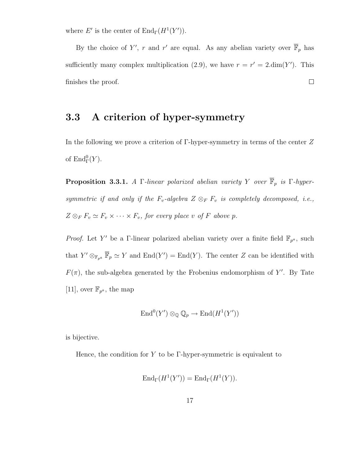where E' is the center of  $\text{End}_{\Gamma}(H^1(Y')).$ 

By the choice of Y', r and r' are equal. As any abelian variety over  $\overline{\mathbb{F}}_p$  has sufficiently many complex multiplication (2.9), we have  $r = r' = 2 \cdot \dim(Y')$ . This finishes the proof.  $\Box$ 

#### 3.3 A criterion of hyper-symmetry

In the following we prove a criterion of Γ-hyper-symmetry in terms of the center Z of  $\mathrm{End}^0_\Gamma(Y)$ .

**Proposition 3.3.1.** A Γ-linear polarized abelian variety Y over  $\overline{\mathbb{F}}_p$  is Γ-hypersymmetric if and only if the  $F_v$ -algebra  $Z \otimes_F F_v$  is completely decomposed, i.e.,  $Z \otimes_F F_v \simeq F_v \times \cdots \times F_v$ , for every place v of F above p.

*Proof.* Let Y' be a  $\Gamma$ -linear polarized abelian variety over a finite field  $\mathbb{F}_{p^a}$ , such that  $Y' \otimes_{\mathbb{F}_{p^a}} \overline{\mathbb{F}}_p \simeq Y$  and  $\text{End}(Y') = \text{End}(Y)$ . The center Z can be identified with  $F(\pi)$ , the sub-algebra generated by the Frobenius endomorphism of Y'. By Tate [11], over  $\mathbb{F}_{p^a}$ , the map

$$
\text{End}^0(Y') \otimes_{\mathbb{Q}} \mathbb{Q}_p \to \text{End}(H^1(Y'))
$$

is bijective.

Hence, the condition for Y to be  $\Gamma$ -hyper-symmetric is equivalent to

$$
End_{\Gamma}(H^1(Y')) = End_{\Gamma}(H^1(Y)).
$$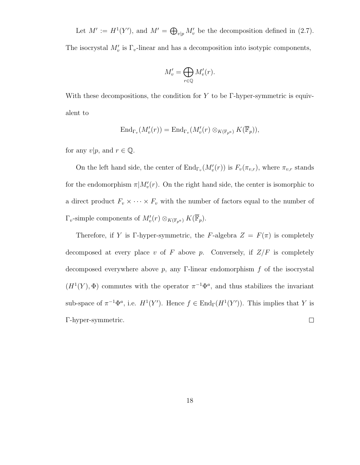Let  $M' := H^1(Y')$ , and  $M' = \bigoplus_{v|p} M'_v$  be the decomposition defined in (2.7). The isocrystal  $M'_v$  is  $\Gamma_v$ -linear and has a decomposition into isotypic components,

$$
M'_v = \bigoplus_{r \in \mathbb{Q}} M'_v(r).
$$

With these decompositions, the condition for Y to be  $\Gamma$ -hyper-symmetric is equivalent to

$$
\mathrm{End}_{\Gamma_v}(M'_v(r)) = \mathrm{End}_{\Gamma_v}(M'_v(r) \otimes_{K(\mathbb{F}_{p^a})} K(\overline{\mathbb{F}}_p)),
$$

for any  $v|p$ , and  $r \in \mathbb{Q}$ .

On the left hand side, the center of  $\text{End}_{\Gamma_v}(M_v'(r))$  is  $F_v(\pi_{v,r})$ , where  $\pi_{v,r}$  stands for the endomorphism  $\pi | M'_v(r)$ . On the right hand side, the center is isomorphic to a direct product  $F_v \times \cdots \times F_v$  with the number of factors equal to the number of  $\Gamma_v$ -simple components of  $M'_v(r) \otimes_{K(\mathbb{F}_{p^a})} K(\overline{\mathbb{F}}_p)$ .

Therefore, if Y is Γ-hyper-symmetric, the F-algebra  $Z = F(\pi)$  is completely decomposed at every place v of F above p. Conversely, if  $Z/F$  is completely decomposed everywhere above  $p$ , any Γ-linear endomorphism  $f$  of the isocrystal  $(H^1(Y), \Phi)$  commutes with the operator  $\pi^{-1}\Phi^a$ , and thus stabilizes the invariant sub-space of  $\pi^{-1}\Phi^a$ , i.e.  $H^1(Y')$ . Hence  $f \in \text{End}_{\Gamma}(H^1(Y'))$ . This implies that Y is  $\Box$ Γ-hyper-symmetric.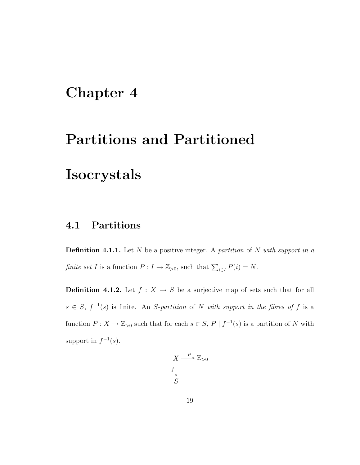### Chapter 4

# Partitions and Partitioned **Isocrystals**

#### 4.1 Partitions

**Definition 4.1.1.** Let  $N$  be a positive integer. A partition of  $N$  with support in a finite set I is a function  $P: I \to \mathbb{Z}_{\geq 0}$ , such that  $\sum_{i \in I} P(i) = N$ .

**Definition 4.1.2.** Let  $f : X \to S$  be a surjective map of sets such that for all  $s \in S$ ,  $f^{-1}(s)$  is finite. An S-partition of N with support in the fibres of f is a function  $P: X \to \mathbb{Z}_{\geq 0}$  such that for each  $s \in S$ ,  $P \mid f^{-1}(s)$  is a partition of N with support in  $f^{-1}(s)$ .

$$
X \xrightarrow{P} \mathbb{Z}_{>0}
$$
\n
$$
f \downarrow
$$
\n
$$
S
$$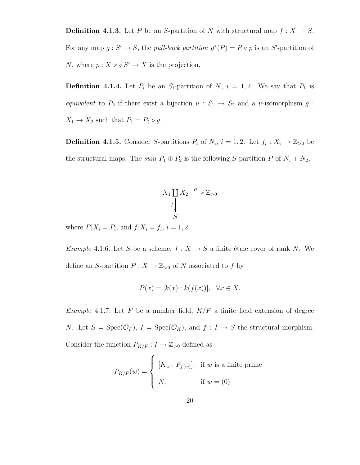**Definition 4.1.3.** Let P be an S-partition of N with structural map  $f: X \to S$ . For any map  $g: S' \to S$ , the *pull-back partition*  $g^*(P) = P \circ p$  is an S'-partition of N, where  $p: X \times_S S' \to X$  is the projection.

**Definition 4.1.4.** Let  $P_i$  be an  $S_i$ -partition of  $N$ ,  $i = 1, 2$ . We say that  $P_1$  is equivalent to  $P_2$  if there exist a bijection  $u : S_1 \rightarrow S_2$  and a u-isomorphism  $g :$  $X_1 \rightarrow X_2$  such that  $P_1 = P_2 \circ g$ .

**Definition 4.1.5.** Consider S-partitions  $P_i$  of  $N_i$ ,  $i = 1, 2$ . Let  $f_i : X_i \to \mathbb{Z}_{>0}$  be the structural maps. The sum  $P_1 \oplus P_2$  is the following S-partition P of  $N_1 + N_2$ ,

$$
X_1 \coprod_{f} X_2 \xrightarrow{P} \mathbb{Z}_{>0}
$$
  

$$
S
$$

where  $P|X_i = P_i$ , and  $f|X_i = f_i$ ,  $i = 1, 2$ .

Example 4.1.6. Let S be a scheme,  $f : X \to S$  a finite étale cover of rank N. We define an  $S\text{-partition }P:X\to \mathbb{Z}_{>0}$  of  $N$  associated to  $f$  by

$$
P(x) = [k(x) : k(f(x))], \forall x \in X.
$$

*Example* 4.1.7. Let F be a number field,  $K/F$  a finite field extension of degree N. Let  $S = \text{Spec}(\mathcal{O}_F)$ ,  $I = \text{Spec}(\mathcal{O}_K)$ , and  $f : I \to S$  the structural morphism. Consider the function  $P_{K/F}: I \to \mathbb{Z}_{>0}$  defined as

$$
P_{K/F}(w) = \begin{cases} [K_w : F_{f(w)}], & \text{if } w \text{ is a finite prime} \\ N, & \text{if } w = (0) \end{cases}
$$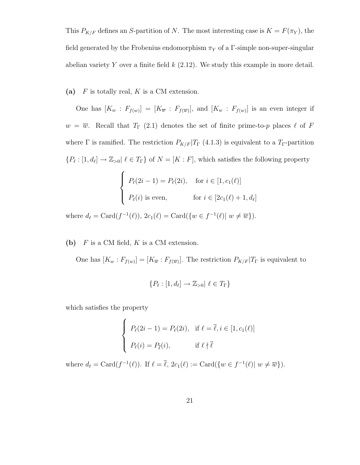This  $P_{K/F}$  defines an S-partition of N. The most interesting case is  $K = F(\pi_Y)$ , the field generated by the Frobenius endomorphism  $\pi_Y$  of a  $\Gamma$ -simple non-super-singular abelian variety Y over a finite field  $k$  (2.12). We study this example in more detail.

(a)  $F$  is totally real,  $K$  is a CM extension.

One has  $[K_w : F_{f(w)}] = [K_{\overline{w}} : F_{f(\overline{w})}]$ , and  $[K_w : F_{f(w)}]$  is an even integer if  $w = \overline{w}$ . Recall that  $T_{\Gamma}$  (2.1) denotes the set of finite prime-to-p places  $\ell$  of F where  $\Gamma$  is ramified. The restriction  $P_{K/F}|T_{\Gamma}$  (4.1.3) is equivalent to a  $T_{\Gamma}$ -partition  ${P_{\ell}: [1, d_{\ell}] \to \mathbb{Z}_{>0}|\ell \in T_{\Gamma}}$  of  $N = [K : F]$ , which satisfies the following property

$$
\begin{cases}\nP_{\ell}(2i-1) = P_{\ell}(2i), & \text{for } i \in [1, c_1(\ell)] \\
P_{\ell}(i) \text{ is even}, & \text{for } i \in [2c_1(\ell)+1, d_{\ell}]\n\end{cases}
$$

where  $d_{\ell} = \text{Card}(f^{-1}(\ell)), 2c_1(\ell) = \text{Card}(\{w \in f^{-1}(\ell) | w \neq \overline{w}\}).$ 

(b)  $F$  is a CM field,  $K$  is a CM extension.

One has  $[K_w: F_{f(w)}] = [K_{\overline{w}}: F_{f(\overline{w})}]$ . The restriction  $P_{K/F}|T_{\Gamma}$  is equivalent to

$$
\{P_{\ell}: [1, d_{\ell}] \to \mathbb{Z}_{>0} | \ell \in T_{\Gamma}\}\
$$

which satisfies the property

$$
\begin{cases}\nP_{\ell}(2i-1) = P_{\ell}(2i), & \text{if } \ell = \overline{\ell}, i \in [1, c_1(\ell)] \\
P_{\ell}(i) = P_{\overline{\ell}}(i), & \text{if } \ell \nmid \overline{\ell}\n\end{cases}
$$

where  $d_{\ell} = \text{Card}(f^{-1}(\ell))$ . If  $\ell = \overline{\ell}$ ,  $2c_1(\ell) := \text{Card}(\{w \in f^{-1}(\ell) | w \neq \overline{w}\})$ .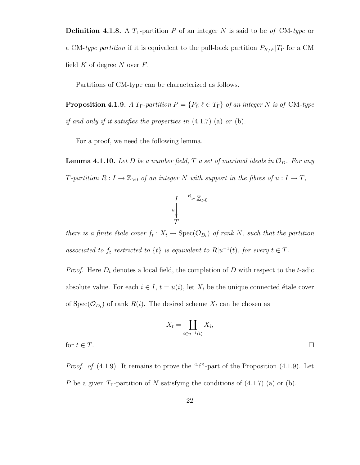**Definition 4.1.8.** A  $T_{\Gamma}$ -partition P of an integer N is said to be of CM-type or a CM-type partition if it is equivalent to the pull-back partition  $P_{K/F}|T_{\Gamma}$  for a CM field  $K$  of degree N over  $F$ .

Partitions of CM-type can be characterized as follows.

**Proposition 4.1.9.** A  $T_{\Gamma}$ -partition  $P = \{P_{\ell}; \ell \in T_{\Gamma}\}\$  of an integer N is of CM-type if and only if it satisfies the properties in  $(4.1.7)$  (a) or (b).

For a proof, we need the following lemma.

**Lemma 4.1.10.** Let D be a number field, T a set of maximal ideals in  $\mathcal{O}_D$ . For any T-partition  $R: I \to \mathbb{Z}_{>0}$  of an integer N with support in the fibres of  $u: I \to T$ ,



there is a finite étale cover  $f_t: X_t \to \text{Spec}(\mathcal{O}_{D_t})$  of rank N, such that the partition associated to  $f_t$  restricted to  $\{t\}$  is equivalent to  $R|u^{-1}(t)$ , for every  $t \in T$ .

*Proof.* Here  $D_t$  denotes a local field, the completion of  $D$  with respect to the t-adic absolute value. For each  $i \in I$ ,  $t = u(i)$ , let  $X_i$  be the unique connected étale cover of  $Spec(\mathcal{O}_{D_t})$  of rank  $R(i)$ . The desired scheme  $X_t$  can be chosen as

$$
X_t = \coprod_{i \in u^{-1}(t)} X_i,
$$

 $\Box$ 

for  $t \in T$ .

Proof. of  $(4.1.9)$ . It remains to prove the "if"-part of the Proposition  $(4.1.9)$ . Let P be a given  $T_{\Gamma}$ -partition of N satisfying the conditions of (4.1.7) (a) or (b).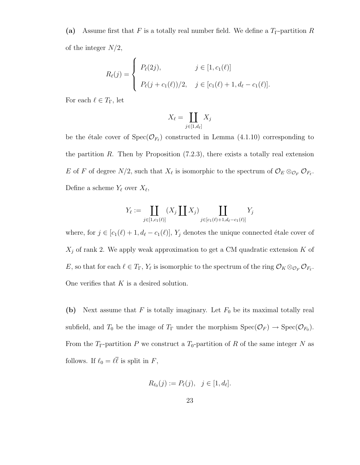(a) Assume first that F is a totally real number field. We define a  $T_{\Gamma}$ -partition R of the integer  $N/2$ ,

$$
R_{\ell}(j) = \begin{cases} P_{\ell}(2j), & j \in [1, c_1(\ell)] \\ P_{\ell}(j + c_1(\ell))/2, & j \in [c_1(\ell) + 1, d_{\ell} - c_1(\ell)]. \end{cases}
$$

For each  $\ell \in T_{\Gamma}$ , let

$$
X_{\ell} = \coprod_{j \in [1, d_{\ell}]} X_j
$$

be the étale cover of  $Spec(\mathcal{O}_{F_{\ell}})$  constructed in Lemma (4.1.10) corresponding to the partition  $R$ . Then by Proposition  $(7.2.3)$ , there exists a totally real extension E of F of degree  $N/2$ , such that  $X_{\ell}$  is isomorphic to the spectrum of  $\mathcal{O}_E \otimes_{\mathcal{O}_F} \mathcal{O}_{F_{\ell}}$ . Define a scheme  $Y_{\ell}$  over  $X_{\ell}$ ,

$$
Y_{\ell} := \coprod_{j \in [1, c_1(\ell)]} (X_j \coprod X_j) \coprod_{j \in [c_1(\ell) + 1, d_{\ell} - c_1(\ell)]} Y_j
$$

where, for  $j \in [c_1(\ell) + 1, d_\ell - c_1(\ell)], Y_j$  denotes the unique connected étale cover of  $X_j$  of rank 2. We apply weak approximation to get a CM quadratic extension K of E, so that for each  $\ell \in T_{\Gamma}$ ,  $Y_{\ell}$  is isomorphic to the spectrum of the ring  $\mathcal{O}_K \otimes_{\mathcal{O}_F} \mathcal{O}_{F_{\ell}}$ . One verifies that  $K$  is a desired solution.

(b) Next assume that  $F$  is totally imaginary. Let  $F_0$  be its maximal totally real subfield, and  $T_0$  be the image of  $T_{\Gamma}$  under the morphism  $Spec(\mathcal{O}_F) \to Spec(\mathcal{O}_{F_0})$ . From the  $T_{\Gamma}$ -partition P we construct a  $T_0$ -partition of R of the same integer N as follows. If  $\ell_0 = \ell \overline{\ell}$  is split in F,

$$
R_{\ell_0}(j) := P_{\ell}(j), \ \ j \in [1, d_{\ell}].
$$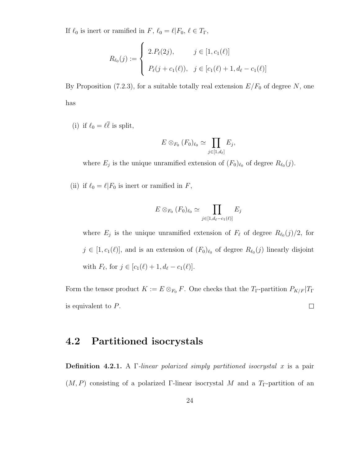If  $\ell_0$  is inert or ramified in  $F, \, \ell_0 = \ell |F_0, \, \ell \in T_\Gamma,$ 

$$
R_{\ell_0}(j) := \begin{cases} 2.P_{\ell}(2j), & j \in [1, c_1(\ell)] \\ P_{\ell}(j + c_1(\ell)), & j \in [c_1(\ell) + 1, d_{\ell} - c_1(\ell)] \end{cases}
$$

By Proposition (7.2.3), for a suitable totally real extension  $E/F_0$  of degree N, one has

(i) if  $\ell_0 = \ell \overline{\ell}$  is split,

$$
E \otimes_{F_0} (F_0)_{\ell_0} \simeq \prod_{j \in [1,d_{\ell}]} E_j,
$$

where  $E_j$  is the unique unramified extension of  $(F_0)_{\ell_0}$  of degree  $R_{\ell_0}(j)$ .

(ii) if  $\ell_0 = \ell |F_0$  is inert or ramified in F,

$$
E \otimes_{F_0} (F_0)_{\ell_0} \simeq \prod_{j \in [1, d_\ell - c_1(\ell)]} E_j
$$

where  $E_j$  is the unique unramified extension of  $F_\ell$  of degree  $R_{\ell_0}(j)/2$ , for  $j \in [1, c_1(\ell)]$ , and is an extension of  $(F_0)_{\ell_0}$  of degree  $R_{\ell_0}(j)$  linearly disjoint with  $F_{\ell}$ , for  $j \in [c_1(\ell) + 1, d_{\ell} - c_1(\ell)].$ 

Form the tensor product  $K := E \otimes_{F_0} F$ . One checks that the  $T_{\Gamma}$ -partition  $P_{K/F}|T_{\Gamma}$ is equivalent to P.  $\Box$ 

#### 4.2 Partitioned isocrystals

**Definition 4.2.1.** A Γ-linear polarized simply partitioned isocrystal x is a pair  $(M, P)$  consisting of a polarized Γ-linear isocrystal M and a T<sub>Γ</sub>-partition of an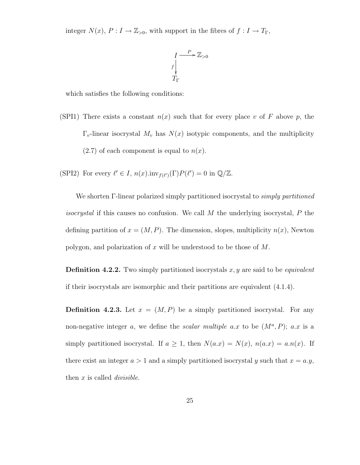integer  $N(x)$ ,  $P: I \to \mathbb{Z}_{>0}$ , with support in the fibres of  $f: I \to T_{\Gamma}$ ,

$$
\begin{array}{c}\nI \longrightarrow Z_{>0} \\
f \downarrow \\
T_{\Gamma}\n\end{array}
$$

which satisfies the following conditions:

(SPI1) There exists a constant  $n(x)$  such that for every place v of F above p, the  $\Gamma_v$ -linear isocrystal  $M_v$  has  $N(x)$  isotypic components, and the multiplicity  $(2.7)$  of each component is equal to  $n(x)$ .

(SPI2) For every  $\ell' \in I$ ,  $n(x)$ .inv $_{f(\ell')}(\Gamma)P(\ell') = 0$  in  $\mathbb{Q}/\mathbb{Z}$ .

We shorten Γ-linear polarized simply partitioned isocrystal to simply partitioned *isocrystal* if this causes no confusion. We call  $M$  the underlying isocrystal,  $P$  the defining partition of  $x = (M, P)$ . The dimension, slopes, multiplicity  $n(x)$ , Newton polygon, and polarization of x will be understood to be those of  $M$ .

**Definition 4.2.2.** Two simply partitioned isocrystals  $x, y$  are said to be *equivalent* if their isocrystals are isomorphic and their partitions are equivalent (4.1.4).

**Definition 4.2.3.** Let  $x = (M, P)$  be a simply partitioned isocrystal. For any non-negative integer a, we define the scalar multiple a.x to be  $(M^a, P)$ ; a.x is a simply partitioned isocrystal. If  $a \ge 1$ , then  $N(a.x) = N(x)$ ,  $n(a.x) = a.n(x)$ . If there exist an integer  $a > 1$  and a simply partitioned isocrystal y such that  $x = a.y$ , then  $x$  is called *divisible*.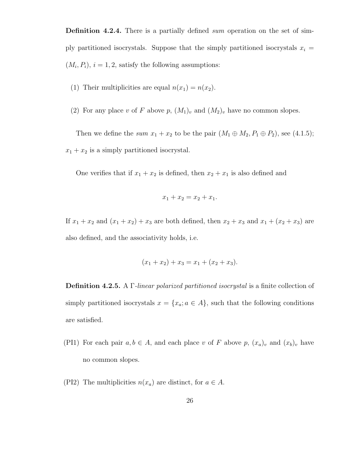**Definition 4.2.4.** There is a partially defined sum operation on the set of simply partitioned isocrystals. Suppose that the simply partitioned isocrystals  $x_i =$  $(M_i, P_i), i = 1, 2$ , satisfy the following assumptions:

- (1) Their multiplicities are equal  $n(x_1) = n(x_2)$ .
- (2) For any place v of F above p,  $(M_1)_v$  and  $(M_2)_v$  have no common slopes.

Then we define the sum  $x_1 + x_2$  to be the pair  $(M_1 \oplus M_2, P_1 \oplus P_2)$ , see (4.1.5);  $x_1 + x_2$  is a simply partitioned isocrystal.

One verifies that if  $x_1 + x_2$  is defined, then  $x_2 + x_1$  is also defined and

$$
x_1 + x_2 = x_2 + x_1.
$$

If  $x_1 + x_2$  and  $(x_1 + x_2) + x_3$  are both defined, then  $x_2 + x_3$  and  $x_1 + (x_2 + x_3)$  are also defined, and the associativity holds, i.e.

$$
(x_1 + x_2) + x_3 = x_1 + (x_2 + x_3).
$$

Definition 4.2.5. A Γ-linear polarized partitioned isocrystal is a finite collection of simply partitioned isocrystals  $x = \{x_a : a \in A\}$ , such that the following conditions are satisfied.

- (PI1) For each pair  $a, b \in A$ , and each place v of F above p,  $(x_a)_v$  and  $(x_b)_v$  have no common slopes.
- (PI2) The multiplicities  $n(x_a)$  are distinct, for  $a \in A$ .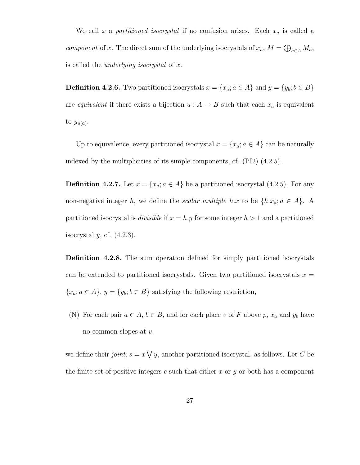We call x a partitioned isocrystal if no confusion arises. Each  $x_a$  is called a component of x. The direct sum of the underlying isocrystals of  $x_a$ ,  $M = \bigoplus_{a \in A} M_a$ , is called the *underlying isocrystal* of  $x$ .

**Definition 4.2.6.** Two partitioned isocrystals  $x = \{x_a; a \in A\}$  and  $y = \{y_b; b \in B\}$ are equivalent if there exists a bijection  $u : A \to B$  such that each  $x_a$  is equivalent to  $y_{u(a)}$ .

Up to equivalence, every partitioned isocrystal  $x = \{x_a : a \in A\}$  can be naturally indexed by the multiplicities of its simple components, cf. (PI2) (4.2.5).

**Definition 4.2.7.** Let  $x = \{x_a : a \in A\}$  be a partitioned isocrystal (4.2.5). For any non-negative integer h, we define the scalar multiple h.x to be  $\{h.x_a; a \in A\}$ . A partitioned isocrystal is *divisible* if  $x = h \cdot y$  for some integer  $h > 1$  and a partitioned isocrystal  $y$ , cf.  $(4.2.3)$ .

Definition 4.2.8. The sum operation defined for simply partitioned isocrystals can be extended to partitioned isocrystals. Given two partitioned isocrystals  $x =$  ${x_a; a \in A}$ ,  $y = {y_b; b \in B}$  satisfying the following restriction,

(N) For each pair  $a \in A$ ,  $b \in B$ , and for each place v of F above p,  $x_a$  and  $y_b$  have no common slopes at v.

we define their *joint*,  $s = x \vee y$ , another partitioned isocrystal, as follows. Let C be the finite set of positive integers c such that either x or y or both has a component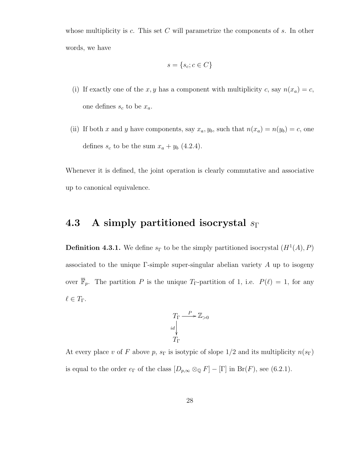whose multiplicity is c. This set  $C$  will parametrize the components of s. In other words, we have

$$
s = \{s_c; c \in C\}
$$

- (i) If exactly one of the x, y has a component with multiplicity c, say  $n(x_a) = c$ , one defines  $s_c$  to be  $x_a$ .
- (ii) If both x and y have components, say  $x_a, y_b$ , such that  $n(x_a) = n(y_b) = c$ , one defines  $s_c$  to be the sum  $x_a + y_b$  (4.2.4).

Whenever it is defined, the joint operation is clearly commutative and associative up to canonical equivalence.

#### 4.3 A simply partitioned isocrystal  $s_{\Gamma}$

**Definition 4.3.1.** We define  $s_{\Gamma}$  to be the simply partitioned isocrystal  $(H^1(A), P)$ associated to the unique  $\Gamma$ -simple super-singular abelian variety A up to isogeny over  $\overline{\mathbb{F}}_p$ . The partition P is the unique T<sub>Γ</sub>-partition of 1, i.e.  $P(\ell) = 1$ , for any  $\ell \in T_\Gamma.$ 

$$
T_{\Gamma} \xrightarrow{P} \mathbb{Z}_{>0}
$$
  

$$
\downarrow d \qquad T_{\Gamma}
$$

At every place v of F above p,  $s_{\Gamma}$  is isotypic of slope 1/2 and its multiplicity  $n(s_{\Gamma})$ is equal to the order  $e_{\Gamma}$  of the class  $[D_{p,\infty} \otimes_{\mathbb{Q}} F] - [\Gamma]$  in  $Br(F)$ , see (6.2.1).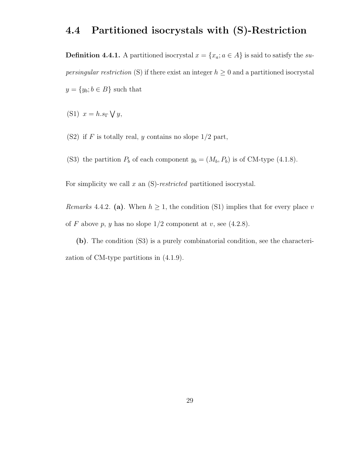#### 4.4 Partitioned isocrystals with (S)-Restriction

**Definition 4.4.1.** A partitioned isocrystal  $x = \{x_a : a \in A\}$  is said to satisfy the su*persingular restriction* (S) if there exist an integer  $h \geq 0$  and a partitioned isocrystal  $y = \{y_b; b \in B\}$  such that

(S1)  $x = h.s_\Gamma \bigvee y,$ 

(S2) if F is totally real, y contains no slope  $1/2$  part,

(S3) the partition  $P_b$  of each component  $y_b = (M_b, P_b)$  is of CM-type (4.1.8).

For simplicity we call  $x$  an  $(S)$ -restricted partitioned isocrystal.

*Remarks* 4.4.2. (a). When  $h \geq 1$ , the condition (S1) implies that for every place v of F above p, y has no slope  $1/2$  component at v, see (4.2.8).

(b). The condition (S3) is a purely combinatorial condition, see the characterization of CM-type partitions in (4.1.9).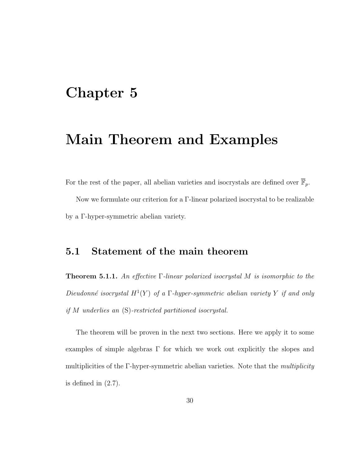### Chapter 5

### Main Theorem and Examples

For the rest of the paper, all abelian varieties and isocrystals are defined over  $\overline{\mathbb{F}}_p.$ 

Now we formulate our criterion for a Γ-linear polarized isocrystal to be realizable by a Γ-hyper-symmetric abelian variety.

#### 5.1 Statement of the main theorem

**Theorem 5.1.1.** An effective  $\Gamma$ -linear polarized isocrystal M is isomorphic to the Dieudonné isocrystal  $H^1(Y)$  of a  $\Gamma$ -hyper-symmetric abelian variety Y if and only if M underlies an (S)-restricted partitioned isocrystal.

The theorem will be proven in the next two sections. Here we apply it to some examples of simple algebras  $\Gamma$  for which we work out explicitly the slopes and multiplicities of the Γ-hyper-symmetric abelian varieties. Note that the multiplicity is defined in (2.7).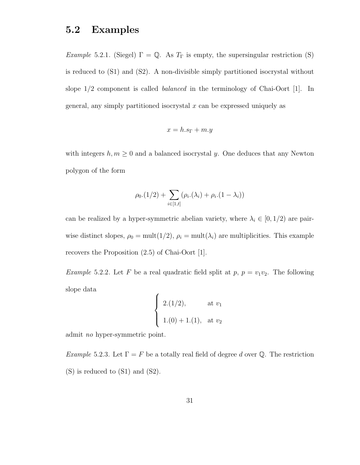#### 5.2 Examples

Example 5.2.1. (Siegel)  $\Gamma = \mathbb{Q}$ . As  $T_{\Gamma}$  is empty, the supersingular restriction (S) is reduced to (S1) and (S2). A non-divisible simply partitioned isocrystal without slope 1/2 component is called balanced in the terminology of Chai-Oort [1]. In general, any simply partitioned isocrystal  $x$  can be expressed uniquely as

$$
x = h.s_{\Gamma} + m.y
$$

with integers  $h, m \geq 0$  and a balanced isocrystal y. One deduces that any Newton polygon of the form

$$
\rho_0.(1/2) + \sum_{i \in [1,t]} (\rho_i.(\lambda_i) + \rho_i.(1 - \lambda_i))
$$

can be realized by a hyper-symmetric abelian variety, where  $\lambda_i \in [0, 1/2)$  are pairwise distinct slopes,  $\rho_0 = \text{mult}(1/2)$ ,  $\rho_i = \text{mult}(\lambda_i)$  are multiplicities. This example recovers the Proposition (2.5) of Chai-Oort [1].

*Example* 5.2.2. Let F be a real quadratic field split at p,  $p = v_1v_2$ . The following slope data

$$
\begin{cases}\n2.(1/2), & \text{at } v_1 \\
1.(0) + 1.(1), & \text{at } v_2\n\end{cases}
$$

admit no hyper-symmetric point.

*Example* 5.2.3. Let  $\Gamma = F$  be a totally real field of degree d over Q. The restriction (S) is reduced to (S1) and (S2).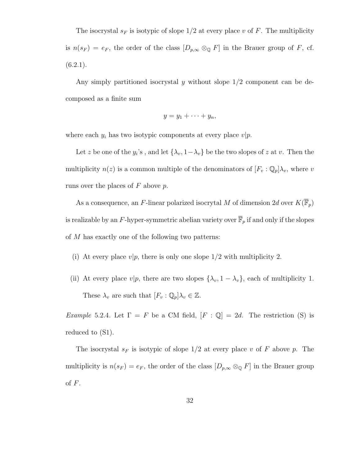The isocrystal  $s_F$  is isotypic of slope  $1/2$  at every place v of F. The multiplicity is  $n(s_F) = e_F$ , the order of the class  $[D_{p,\infty} \otimes_{\mathbb{Q}} F]$  in the Brauer group of F, cf.  $(6.2.1).$ 

Any simply partitioned isocrystal y without slope  $1/2$  component can be decomposed as a finite sum

$$
y=y_1+\cdots+y_n,
$$

where each  $y_i$  has two isotypic components at every place  $v|p$ .

Let z be one of the  $y_i$ 's, and let  $\{\lambda_v, 1-\lambda_v\}$  be the two slopes of z at v. Then the multiplicity  $n(z)$  is a common multiple of the denominators of  $[F_v : \mathbb{Q}_p] \lambda_v$ , where v runs over the places of  $F$  above  $p$ .

As a consequence, an  $F\text{-linear polarized isocrytal }M$  of dimension  $2d$  over  $K(\overline{\mathbb{F}}_p)$ is realizable by an  $F$ -hyper-symmetric abelian variety over  $\overline{\mathbb{F}}_p$  if and only if the slopes of  $M$  has exactly one of the following two patterns:

- (i) At every place  $v|p$ , there is only one slope  $1/2$  with multiplicity 2.
- (ii) At every place  $v|p$ , there are two slopes  $\{\lambda_v, 1 \lambda_v\}$ , each of multiplicity 1. These  $\lambda_v$  are such that  $[F_v : \mathbb{Q}_p] \lambda_v \in \mathbb{Z}$ .

Example 5.2.4. Let  $\Gamma = F$  be a CM field,  $[F : \mathbb{Q}] = 2d$ . The restriction (S) is reduced to (S1).

The isocrystal  $s_F$  is isotypic of slope  $1/2$  at every place v of F above p. The multiplicity is  $n(s_F) = e_F$ , the order of the class  $[D_{p,\infty} \otimes_{\mathbb{Q}} F]$  in the Brauer group of  $F$ .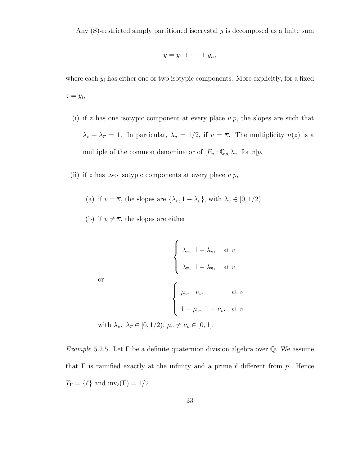Any (S)-restricted simply partitioned isocrystal y is decomposed as a finite sum

$$
y=y_1+\cdots+y_n,
$$

where each  $y_i$  has either one or two isotypic components. More explicitly, for a fixed  $z=y_i,$ 

- (i) if z has one isotypic component at every place  $v|p$ , the slopes are such that  $\lambda_v + \lambda_{\overline{v}} = 1$ . In particular,  $\lambda_v = 1/2$ , if  $v = \overline{v}$ . The multiplicity  $n(z)$  is a multiple of the common denominator of  $[F_v : \mathbb{Q}_p] \lambda_v$ , for  $v|p$ .
- (ii) if z has two isotypic components at every place  $v|p$ ,
	- (a) if  $v = \overline{v}$ , the slopes are  $\{\lambda_v, 1 \lambda_v\}$ , with  $\lambda_v \in [0, 1/2)$ .
	- (b) if  $v \neq \overline{v}$ , the slopes are either

$$
\begin{cases}\n\lambda_v, 1 - \lambda_v, & \text{at } v \\
\lambda_{\overline{v}}, 1 - \lambda_{\overline{v}}, & \text{at } \overline{v} \\
\mu_v, \nu_v, & \text{at } v\n\end{cases}
$$
\nor

\n
$$
\begin{cases}\n\mu_v, \nu_v, & \text{at } v \\
1 - \mu_v, 1 - \nu_v, & \text{at } \overline{v} \\
\text{with } \lambda_v, \lambda_{\overline{v}} \in [0, 1/2), \mu_v \neq \nu_v \in [0, 1].\n\end{cases}
$$

Example 5.2.5. Let  $\Gamma$  be a definite quaternion division algebra over  $\mathbb Q$ . We assume that  $\Gamma$  is ramified exactly at the infinity and a prime  $\ell$  different from p. Hence  $T_{\Gamma} = \{\ell\}$  and  $inv_{\ell}(\Gamma) = 1/2$ .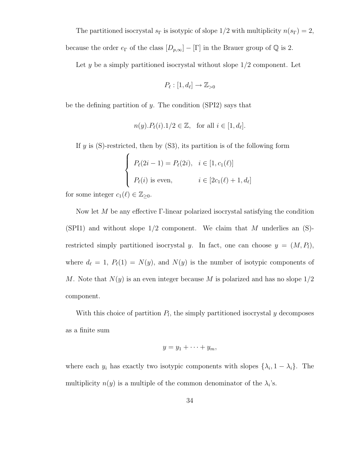The partitioned isocrystal  $s_{\Gamma}$  is isotypic of slope 1/2 with multiplicity  $n(s_{\Gamma}) = 2$ ,

because the order  $e_{\Gamma}$  of the class  $[D_{p,\infty}] - [\Gamma]$  in the Brauer group of  $\mathbb Q$  is 2.

Let  $y$  be a simply partitioned isocrystal without slope  $1/2$  component. Let

$$
P_{\ell}: [1, d_{\ell}] \to \mathbb{Z}_{>0}
$$

be the defining partition of y. The condition  $(SPI2)$  says that

$$
n(y).P_{\ell}(i).1/2 \in \mathbb{Z}, \text{ for all } i \in [1, d_{\ell}].
$$

If y is  $(S)$ -restricted, then by  $(S3)$ , its partition is of the following form

$$
\begin{cases}\nP_{\ell}(2i-1) = P_{\ell}(2i), & i \in [1, c_1(\ell)] \\
P_{\ell}(i) \text{ is even}, & i \in [2c_1(\ell) + 1, d_{\ell}]\n\end{cases}
$$

for some integer  $c_1(\ell) \in \mathbb{Z}_{\geq 0}$ .

Now let M be any effective Γ-linear polarized isocrystal satisfying the condition (SPI1) and without slope  $1/2$  component. We claim that M underlies an  $(S)$ restricted simply partitioned isocrystal y. In fact, one can choose  $y = (M, P_l)$ , where  $d_{\ell} = 1$ ,  $P_{\ell}(1) = N(y)$ , and  $N(y)$  is the number of isotypic components of M. Note that  $N(y)$  is an even integer because M is polarized and has no slope  $1/2$ component.

With this choice of partition  $P_l$ , the simply partitioned isocrystal y decomposes as a finite sum

$$
y=y_1+\cdots+y_m,
$$

where each  $y_i$  has exactly two isotypic components with slopes  $\{\lambda_i, 1 - \lambda_i\}$ . The multiplicity  $n(y)$  is a multiple of the common denominator of the  $\lambda_i$ 's.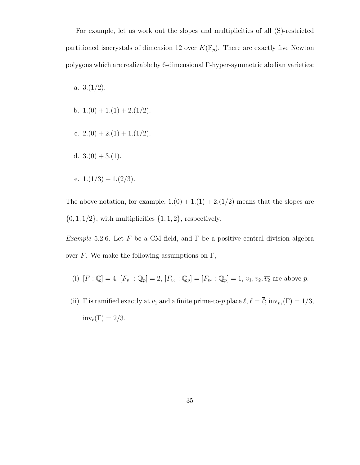For example, let us work out the slopes and multiplicities of all (S)-restricted partitioned isocrystals of dimension 12 over  $K(\overline{\mathbb{F}}_p)$ . There are exactly five Newton polygons which are realizable by 6-dimensional Γ-hyper-symmetric abelian varieties:

a.  $3.(1/2)$ . b.  $1.(0) + 1.(1) + 2.(1/2)$ . c.  $2.(0) + 2.(1) + 1.(1/2)$ . d.  $3.(0) + 3.(1)$ . e.  $1.(1/3) + 1.(2/3)$ .

The above notation, for example,  $1.(0) + 1.(1) + 2.(1/2)$  means that the slopes are  $\{0, 1, 1/2\}$ , with multiplicities  $\{1, 1, 2\}$ , respectively.

Example 5.2.6. Let F be a CM field, and  $\Gamma$  be a positive central division algebra over F. We make the following assumptions on  $\Gamma$ ,

- (i)  $[F: \mathbb{Q}] = 4; [F_{v_1} : \mathbb{Q}_p] = 2, [F_{v_2} : \mathbb{Q}_p] = [F_{\overline{v_2}} : \mathbb{Q}_p] = 1, v_1, v_2, \overline{v_2}$  are above p.
- (ii)  $\Gamma$  is ramified exactly at  $v_1$  and a finite prime-to-p place  $\ell, \ell = \ell$ ; inv<sub>v<sub>1</sub></sub> $(\Gamma) = 1/3$ ,  $inv_{\ell}(\Gamma) = 2/3.$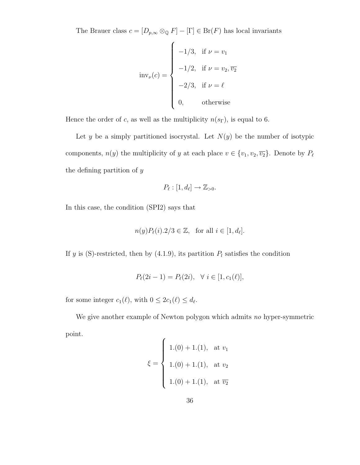The Brauer class  $c = [D_{p,\infty} \otimes_{\mathbb{Q}} F] - [\Gamma] \in \text{Br}(F)$  has local invariants

$$
\text{inv}_{\nu}(c) = \begin{cases}\n-1/3, & \text{if } \nu = v_1 \\
-1/2, & \text{if } \nu = v_2, \overline{v_2} \\
-2/3, & \text{if } \nu = \ell \\
0, & \text{otherwise}\n\end{cases}
$$

Hence the order of c, as well as the multiplicity  $n(s_{\Gamma})$ , is equal to 6.

Let y be a simply partitioned isocrystal. Let  $N(y)$  be the number of isotypic components,  $n(y)$  the multiplicity of y at each place  $v \in \{v_1, v_2, \overline{v_2}\}$ . Denote by  $P_\ell$ the defining partition of  $y$ 

$$
P_{\ell}: [1, d_{\ell}] \to \mathbb{Z}_{>0}.
$$

In this case, the condition (SPI2) says that

$$
n(y)P_{\ell}(i).2/3 \in \mathbb{Z}, \text{ for all } i \in [1, d_{\ell}].
$$

If y is (S)-restricted, then by (4.1.9), its partition  $P_l$  satisfies the condition

$$
P_{\ell}(2i - 1) = P_{\ell}(2i), \ \ \forall \ i \in [1, c_1(\ell)],
$$

for some integer  $c_1(\ell)$ , with  $0 \leq 2c_1(\ell) \leq d_{\ell}$ .

We give another example of Newton polygon which admits no hyper-symmetric point.

$$
\xi = \begin{cases}\n1.(0) + 1.(1), & \text{at } v_1 \\
1.(0) + 1.(1), & \text{at } v_2 \\
1.(0) + 1.(1), & \text{at } \overline{v_2}\n\end{cases}
$$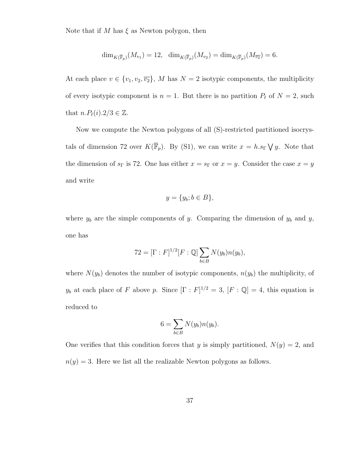Note that if M has  $\xi$  as Newton polygon, then

$$
\dim_{K(\overline{\mathbb{F}}_p)}(M_{v_1}) = 12, \quad \dim_{K(\overline{\mathbb{F}}_p)}(M_{v_2}) = \dim_{K(\overline{\mathbb{F}}_p)}(M_{\overline{v_2}}) = 6.
$$

At each place  $v \in \{v_1, v_2, \overline{v_2}\}, M$  has  $N = 2$  isotypic components, the multiplicity of every isotypic component is  $n = 1$ . But there is no partition  $P_\ell$  of  $N = 2$ , such that  $n.P_{\ell}(i).2/3 \in \mathbb{Z}$ .

Now we compute the Newton polygons of all (S)-restricted partitioned isocrystals of dimension 72 over  $K(\overline{\mathbb{F}}_p)$ . By (S1), we can write  $x = h.s_{\Gamma} \setminus y$ . Note that the dimension of  $s_{\Gamma}$  is 72. One has either  $x = s_{\Gamma}$  or  $x = y$ . Consider the case  $x = y$ and write

$$
y = \{y_b; b \in B\},\
$$

where  $y_b$  are the simple components of y. Comparing the dimension of  $y_b$  and y, one has

$$
72 = [\Gamma : F]^{1/2} [F : \mathbb{Q}] \sum_{b \in B} N(y_b) n(y_b),
$$

where  $N(y_b)$  denotes the number of isotypic components,  $n(y_b)$  the multiplicity, of  $y_b$  at each place of F above p. Since  $[\Gamma : F]^{1/2} = 3$ ,  $[F : \mathbb{Q}] = 4$ , this equation is reduced to

$$
6 = \sum_{b \in B} N(y_b) n(y_b).
$$

One verifies that this condition forces that y is simply partitioned,  $N(y) = 2$ , and  $n(y) = 3$ . Here we list all the realizable Newton polygons as follows.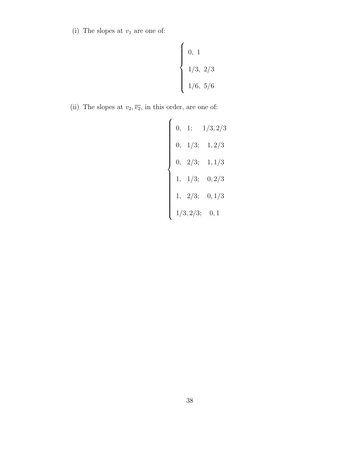(i) The slopes at  $v_1$  are one of:

$$
\begin{cases}\n0, 1 \\
1/3, 2/3 \\
1/6, 5/6\n\end{cases}
$$

(ii) The slopes at  $v_2, \overline{v_2},$  in this order, are one of:

$$
\left\{\begin{array}{lll} 0,&1;&1/3,2/3 \\[0.2cm] 0,&1/3;&1,2/3 \\[0.2cm] 0,&2/3;&1,1/3 \\[0.2cm] 1,&1/3;&0,2/3 \\[0.2cm] 1,&2/3;&0,1/3 \\[0.2cm] 1/3,2/3;&0,1 \end{array}\right.
$$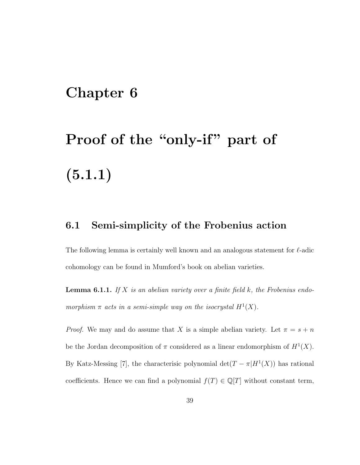### Chapter 6

# Proof of the "only-if" part of (5.1.1)

#### 6.1 Semi-simplicity of the Frobenius action

The following lemma is certainly well known and an analogous statement for  $\ell$ -adic cohomology can be found in Mumford's book on abelian varieties.

**Lemma 6.1.1.** If X is an abelian variety over a finite field  $k$ , the Frobenius endomorphism  $\pi$  acts in a semi-simple way on the isocrystal  $H^1(X)$ .

*Proof.* We may and do assume that X is a simple abelian variety. Let  $\pi = s + n$ be the Jordan decomposition of  $\pi$  considered as a linear endomorphism of  $H^1(X)$ . By Katz-Messing [7], the characterisic polynomial  $\det(T - \pi | H^1(X))$  has rational coefficients. Hence we can find a polynomial  $f(T) \in \mathbb{Q}[T]$  without constant term,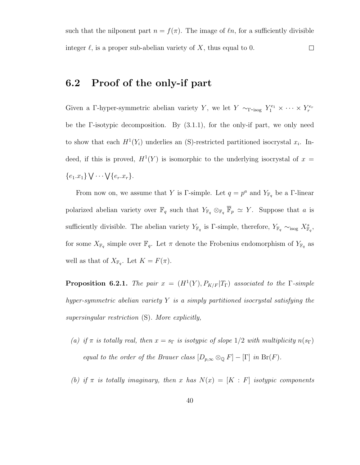such that the nilponent part  $n = f(\pi)$ . The image of  $\ell n$ , for a sufficiently divisible integer  $\ell$ , is a proper sub-abelian variety of X, thus equal to 0.  $\Box$ 

#### 6.2 Proof of the only-if part

Given a Γ-hyper-symmetric abelian variety Y, we let  $Y \sim_{\Gamma\text{-isog}} Y_1^{e_1} \times \cdots \times Y_r^{e_r}$ be the Γ-isotypic decomposition. By (3.1.1), for the only-if part, we only need to show that each  $H^1(Y_i)$  underlies an (S)-restricted partitioned isocrystal  $x_i$ . Indeed, if this is proved,  $H^1(Y)$  is isomorphic to the underlying isocrystal of  $x =$  ${e_1.x_1} \vee \cdots \vee {e_r.x_r}.$ 

From now on, we assume that Y is Γ-simple. Let  $q = p^a$  and  $Y_{\mathbb{F}_q}$  be a Γ-linear polarized abelian variety over  $\mathbb{F}_q$  such that  $Y_{\mathbb{F}_q} \otimes_{\mathbb{F}_q} \overline{\mathbb{F}}_p \simeq Y$ . Suppose that a is sufficiently divisible. The abelian variety  $Y_{\mathbb{F}_q}$  is Γ-simple, therefore,  $Y_{\mathbb{F}_q} \sim_{\text{isog}} X_{\mathbb{F}_q}^s$ , for some  $X_{\mathbb{F}_q}$  simple over  $\mathbb{F}_q$ . Let  $\pi$  denote the Frobenius endomorphism of  $Y_{\mathbb{F}_q}$  as well as that of  $X_{\mathbb{F}_q}$ . Let  $K = F(\pi)$ .

**Proposition 6.2.1.** The pair  $x = (H^1(Y), P_{K/F} | T_{\Gamma})$  associated to the  $\Gamma$ -simple hyper-symmetric abelian variety  $Y$  is a simply partitioned isocrystal satisfying the supersingular restriction (S). More explicitly,

- (a) if  $\pi$  is totally real, then  $x = s_{\Gamma}$  is isotypic of slope 1/2 with multiplicity  $n(s_{\Gamma})$ equal to the order of the Brauer class  $[D_{p,\infty} \otimes_{\mathbb{Q}} F] - [\Gamma]$  in  $\text{Br}(F)$ .
- (b) if  $\pi$  is totally imaginary, then x has  $N(x) = [K : F]$  isotypic components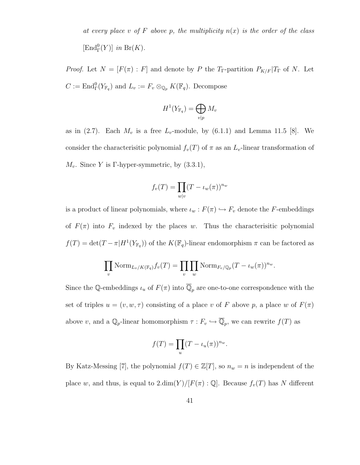at every place v of F above p, the multiplicity  $n(x)$  is the order of the class  $\left[\text{End}^0_\Gamma(Y)\right]$  in  $\text{Br}(K)$ .

*Proof.* Let  $N = [F(\pi) : F]$  and denote by P the T<sub>Γ</sub>-partition  $P_{K/F}|T_{\Gamma}$  of N. Let  $C := \text{End}_{\Gamma}^0(Y_{\mathbb{F}_q})$  and  $L_v := F_v \otimes_{\mathbb{Q}_p} K(\mathbb{F}_q)$ . Decompose

$$
H^1(Y_{\mathbb{F}_q}) = \bigoplus_{v|p} M_v
$$

as in  $(2.7)$ . Each  $M_v$  is a free  $L_v$ -module, by  $(6.1.1)$  and Lemma 11.5 [8]. We consider the characterisitic polynomial  $f_v(T)$  of  $\pi$  as an  $L_v$ -linear transformation of  $M_v$ . Since Y is Γ-hyper-symmetric, by  $(3.3.1)$ ,

$$
f_v(T) = \prod_{w|v} (T - \iota_w(\pi))^{n_w}
$$

is a product of linear polynomials, where  $\iota_w : F(\pi) \hookrightarrow F_v$  denote the F-embeddings of  $F(\pi)$  into  $F_v$  indexed by the places w. Thus the characterisitic polynomial  $f(T) = \det(T - \pi | H^1(Y_{\mathbb{F}_q}))$  of the  $K(\mathbb{F}_q)$ -linear endomorphism  $\pi$  can be factored as

$$
\prod_{v} \text{Norm}_{L_v/K(\mathbb{F}_q)} f_v(T) = \prod_{v} \prod_{w} \text{Norm}_{F_v/\mathbb{Q}_p}(T - \iota_w(\pi))^{n_w}.
$$

Since the Q-embeddings  $\iota_u$  of  $F(\pi)$  into  $\overline{\mathbb{Q}}_p$  are one-to-one correspondence with the set of triples  $u = (v, w, \tau)$  consisting of a place v of F above p, a place w of  $F(\pi)$ above v, and a  $\mathbb{Q}_p$ -linear homomorphism  $\tau : F_v \hookrightarrow \overline{\mathbb{Q}}_p$ , we can rewrite  $f(T)$  as

$$
f(T) = \prod_{u} (T - \iota_u(\pi))^{n_w}.
$$

By Katz-Messing [7], the polynomial  $f(T) \in \mathbb{Z}[T]$ , so  $n_w = n$  is independent of the place w, and thus, is equal to  $2.\dim(Y)/[F(\pi):\mathbb{Q}]$ . Because  $f_v(T)$  has N different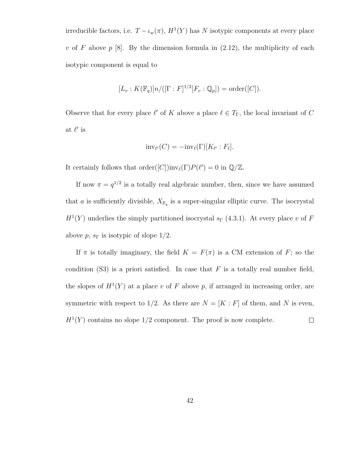irreducible factors, i.e.  $T - \iota_w(\pi)$ ,  $H^1(Y)$  has N isotypic components at every place v of F above  $p$  [8]. By the dimension formula in  $(2.12)$ , the multiplicity of each isotypic component is equal to

$$
[L_v:K(\mathbb{F}_q)]n/([\Gamma:F]^{1/2}[F_v:\mathbb{Q}_p])=\mathrm{order}([C]).
$$

Observe that for every place  $\ell'$  of K above a place  $\ell \in T_{\Gamma}$ , the local invariant of C at  $\ell'$  is

$$
inv_{\ell'}(C) = -inv_{\ell}(\Gamma)[K_{\ell'} : F_{\ell}].
$$

It certainly follows that  $order([C])inv_{\ell}(\Gamma)P(\ell') = 0$  in  $\mathbb{Q}/\mathbb{Z}$ .

If now  $\pi = q^{1/2}$  is a totally real algebraic number, then, since we have assumed that a is sufficiently divisible,  $X_{\mathbb{F}_q}$  is a super-singular elliptic curve. The isocrystal  $H<sup>1</sup>(Y)$  underlies the simply partitioned isocrystal  $s_{\Gamma}$  (4.3.1). At every place v of F above  $p, s_{\Gamma}$  is isotypic of slope  $1/2$ .

If  $\pi$  is totally imaginary, the field  $K = F(\pi)$  is a CM extension of F; so the condition  $(S3)$  is a priori satisfied. In case that F is a totally real number field, the slopes of  $H^1(Y)$  at a place v of F above p, if arranged in increasing order, are symmetric with respect to 1/2. As there are  $N = [K : F]$  of them, and N is even,  $H<sup>1</sup>(Y)$  contains no slope  $1/2$  component. The proof is now complete.  $\Box$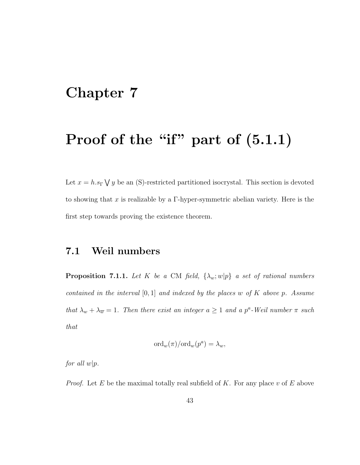### Chapter 7

## Proof of the "if" part of  $(5.1.1)$

Let  $x = h.s \sim \sqrt{y}$  be an (S)-restricted partitioned isocrystal. This section is devoted to showing that x is realizable by a  $\Gamma$ -hyper-symmetric abelian variety. Here is the first step towards proving the existence theorem.

### 7.1 Weil numbers

**Proposition 7.1.1.** Let K be a CM field,  $\{\lambda_w; w|p\}$  a set of rational numbers contained in the interval  $[0,1]$  and indexed by the places w of K above p. Assume that  $\lambda_w + \lambda_{\overline{w}} = 1$ . Then there exist an integer  $a \geq 1$  and a  $p^a$ -Weil number  $\pi$  such that

$$
\mathrm{ord}_w(\pi)/\mathrm{ord}_w(p^a) = \lambda_w,
$$

for all  $w|p$ .

*Proof.* Let E be the maximal totally real subfield of K. For any place v of E above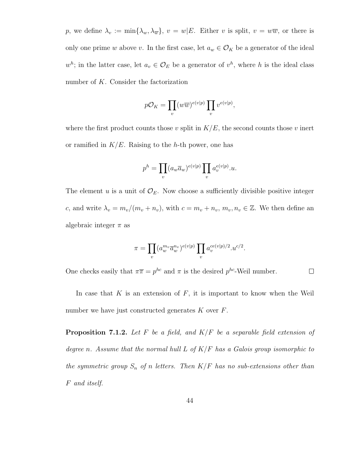p, we define  $\lambda_v := \min{\{\lambda_w, \lambda_{\overline{w}}\}}, v = w | E$ . Either v is split,  $v = w\overline{w}$ , or there is only one prime w above v. In the first case, let  $a_w \in \mathcal{O}_K$  be a generator of the ideal  $w^h$ ; in the latter case, let  $a_v \in \mathcal{O}_E$  be a generator of  $v^h$ , where h is the ideal class number of K. Consider the factorization

$$
p\mathcal{O}_K = \prod_v (w\overline{w})^{e(v|p)} \prod_v v^{e(v|p)},
$$

where the first product counts those v split in  $K/E$ , the second counts those v inert or ramified in  $K/E$ . Raising to the h-th power, one has

$$
p^{h} = \prod_{v} (a_{w}\overline{a}_{w})^{e(v|p)} \prod_{v} a_{v}^{e(v|p)} \cdot u.
$$

The element u is a unit of  $\mathcal{O}_E$ . Now choose a sufficiently divisible positive integer c, and write  $\lambda_v = m_v/(m_v + n_v)$ , with  $c = m_v + n_v$ ,  $m_v, n_v \in \mathbb{Z}$ . We then define an algebraic integer  $\pi$  as

$$
\pi = \prod_{v} (a_w^{m_v} \overline{a}_w^{n_v})^{e(v|p)} \prod_{v} a_v^{ce(v|p)/2} . u^{c/2}.
$$

One checks easily that  $\pi \overline{\pi} = p^{hc}$  and  $\pi$  is the desired  $p^{hc}$ -Weil number.  $\Box$ 

In case that  $K$  is an extension of  $F$ , it is important to know when the Weil number we have just constructed generates  $K$  over  $F$ .

**Proposition 7.1.2.** Let F be a field, and  $K/F$  be a separable field extension of degree n. Assume that the normal hull L of  $K/F$  has a Galois group isomorphic to the symmetric group  $S_n$  of n letters. Then  $K/F$  has no sub-extensions other than F and itself.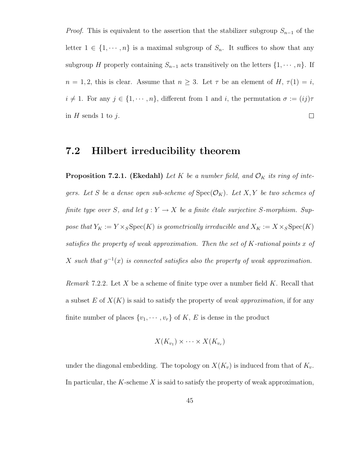*Proof.* This is equivalent to the assertion that the stabilizer subgroup  $S_{n-1}$  of the letter  $1 \in \{1, \dots, n\}$  is a maximal subgroup of  $S_n$ . It suffices to show that any subgroup H properly containing  $S_{n-1}$  acts transitively on the letters  $\{1, \dots, n\}$ . If  $n = 1, 2$ , this is clear. Assume that  $n \geq 3$ . Let  $\tau$  be an element of  $H$ ,  $\tau(1) = i$ ,  $i \neq 1$ . For any  $j \in \{1, \dots, n\}$ , different from 1 and i, the permutation  $\sigma := (ij)\tau$  $\Box$ in  $H$  sends 1 to j.

#### 7.2 Hilbert irreducibility theorem

**Proposition 7.2.1.** (Ekedahl) Let K be a number field, and  $\mathcal{O}_K$  its ring of integers. Let S be a dense open sub-scheme of  $Spec(\mathcal{O}_K)$ . Let X, Y be two schemes of finite type over S, and let  $g: Y \to X$  be a finite étale surjective S-morphism. Suppose that  $Y_K := Y \times_S \text{Spec}(K)$  is geometrically irreducible and  $X_K := X \times_S \text{Spec}(K)$ satisfies the property of weak approximation. Then the set of  $K$ -rational points x of X such that  $g^{-1}(x)$  is connected satisfies also the property of weak approximation.

*Remark* 7.2.2. Let X be a scheme of finite type over a number field  $K$ . Recall that a subset E of  $X(K)$  is said to satisfy the property of weak approximation, if for any finite number of places  $\{v_1, \dots, v_r\}$  of K, E is dense in the product

$$
X(K_{v_1})\times\cdots\times X(K_{v_r})
$$

under the diagonal embedding. The topology on  $X(K_v)$  is induced from that of  $K_v$ . In particular, the  $K$ -scheme  $X$  is said to satisfy the property of weak approximation,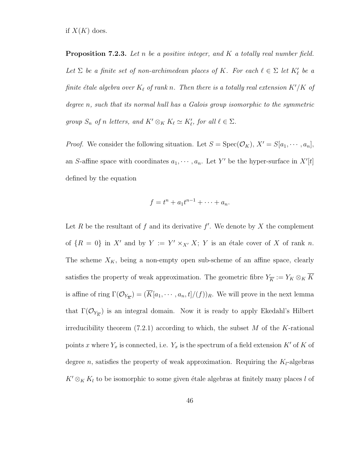if  $X(K)$  does.

**Proposition 7.2.3.** Let n be a positive integer, and K a totally real number field. Let  $\Sigma$  be a finite set of non-archimedean places of K. For each  $\ell \in \Sigma$  let  $K'_\ell$  be a finite étale algebra over  $K_{\ell}$  of rank n. Then there is a totally real extension  $K'/K$  of degree n, such that its normal hull has a Galois group isomorphic to the symmetric group  $S_n$  of n letters, and  $K' \otimes_K K_{\ell} \simeq K'_{\ell}$ , for all  $\ell \in \Sigma$ .

*Proof.* We consider the following situation. Let  $S = \text{Spec}(\mathcal{O}_K)$ ,  $X' = S[a_1, \dots, a_n]$ , an S-affine space with coordinates  $a_1, \dots, a_n$ . Let Y' be the hyper-surface in  $X'[t]$ defined by the equation

$$
f = t^n + a_1 t^{n-1} + \dots + a_n.
$$

Let R be the resultant of f and its derivative  $f'$ . We denote by X the complement of  $\{R = 0\}$  in X' and by  $Y := Y' \times_{X'} X$ ; Y is an étale cover of X of rank n. The scheme  $X_K$ , being a non-empty open sub-scheme of an affine space, clearly satisfies the property of weak approximation. The geometric fibre  $Y_{\overline{K}} := Y_K \otimes_K \overline{K}$ is affine of ring  $\Gamma(\mathcal{O}_{Y_{\overline{K}}}) = (\overline{K}[a_1, \cdots, a_n, t]/(f))_R$ . We will prove in the next lemma that  $\Gamma(\mathcal{O}_{Y_{\overline{K}}})$  is an integral domain. Now it is ready to apply Ekedahl's Hilbert irreducibility theorem  $(7.2.1)$  according to which, the subset M of the K-rational points x where  $Y_x$  is connected, i.e.  $Y_x$  is the spectrum of a field extension K' of K of degree *n*, satisfies the property of weak approximation. Requiring the  $K_l$ -algebras  $K' \otimes_K K_l$  to be isomorphic to some given étale algebras at finitely many places l of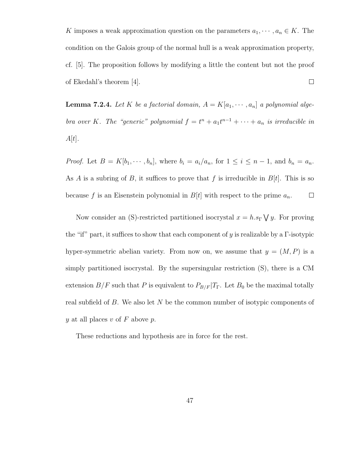K imposes a weak approximation question on the parameters  $a_1, \dots, a_n \in K$ . The condition on the Galois group of the normal hull is a weak approximation property, cf. [5]. The proposition follows by modifying a little the content but not the proof of Ekedahl's theorem [4].  $\Box$ 

**Lemma 7.2.4.** Let K be a factorial domain,  $A = K[a_1, \dots, a_n]$  a polynomial algebra over K. The "generic" polynomial  $f = t^n + a_1t^{n-1} + \cdots + a_n$  is irreducible in  $A[t]$ .

*Proof.* Let  $B = K[b_1, \dots, b_n]$ , where  $b_i = a_i/a_n$ , for  $1 \le i \le n-1$ , and  $b_n = a_n$ . As A is a subring of B, it suffices to prove that f is irreducible in  $B[t]$ . This is so because f is an Eisenstein polynomial in  $B[t]$  with respect to the prime  $a_n$ .  $\Box$ 

Now consider an (S)-restricted partitioned isocrystal  $x = h.s<sub>\Gamma</sub> \bigvee y$ . For proving the "if" part, it suffices to show that each component of y is realizable by a  $\Gamma$ -isotypic hyper-symmetric abelian variety. From now on, we assume that  $y = (M, P)$  is a simply partitioned isocrystal. By the supersingular restriction (S), there is a CM extension  $B/F$  such that P is equivalent to  $P_{B/F}|T_{\Gamma}$ . Let  $B_0$  be the maximal totally real subfield of  $B$ . We also let  $N$  be the common number of isotypic components of y at all places  $v$  of  $F$  above  $p$ .

These reductions and hypothesis are in force for the rest.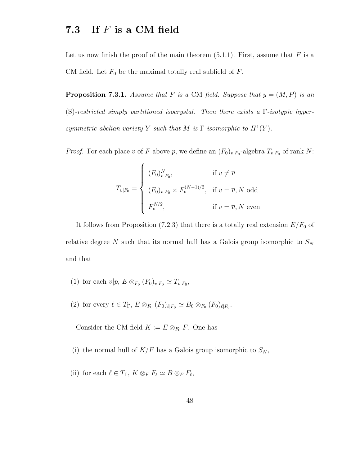#### 7.3 If  $F$  is a CM field

Let us now finish the proof of the main theorem  $(5.1.1)$ . First, assume that F is a CM field. Let  $F_0$  be the maximal totally real subfield of F.

**Proposition 7.3.1.** Assume that F is a CM field. Suppose that  $y = (M, P)$  is an (S)-restricted simply partitioned isocrystal. Then there exists a  $\Gamma$ -isotypic hypersymmetric abelian variety Y such that M is  $\Gamma$ -isomorphic to  $H^1(Y)$ .

*Proof.* For each place v of F above p, we define an  $(F_0)_{v|F_0}$ -algebra  $T_{v|F_0}$  of rank N:

$$
T_{v|F_0} = \begin{cases} (F_0)_{v|F_0}^N, & \text{if } v \neq \overline{v} \\ (F_0)_{v|F_0} \times F_v^{(N-1)/2}, & \text{if } v = \overline{v}, N \text{ odd} \\ F_v^{N/2}, & \text{if } v = \overline{v}, N \text{ even} \end{cases}
$$

It follows from Proposition (7.2.3) that there is a totally real extension  $E/F_0$  of relative degree N such that its normal hull has a Galois group isomorphic to  $S_N$ and that

- (1) for each  $v|p, E \otimes_{F_0} (F_0)_{v|F_0} \simeq T_{v|F_0},$
- (2) for every  $\ell \in T_{\Gamma}$ ,  $E \otimes_{F_0} (F_0)_{\ell \mid F_0} \simeq B_0 \otimes_{F_0} (F_0)_{\ell \mid F_0}$ .

Consider the CM field  $K := E \otimes_{F_0} F$ . One has

- (i) the normal hull of  $K/F$  has a Galois group isomorphic to  $S_N$ ,
- (ii) for each  $\ell \in T_{\Gamma}$ ,  $K \otimes_F F_{\ell} \simeq B \otimes_F F_{\ell}$ ,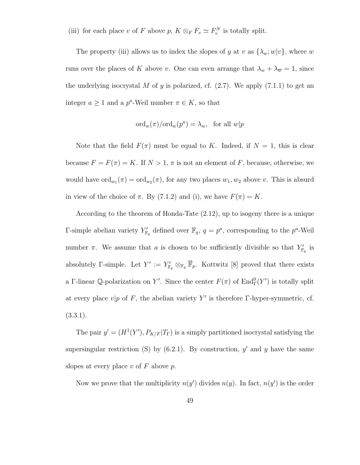(iii) for each place v of F above p,  $K \otimes_F F_v \simeq F_v^N$  is totally split.

The property (iii) allows us to index the slopes of y at v as  $\{\lambda_w; w|v\}$ , where w runs over the places of K above v. One can even arrange that  $\lambda_w + \lambda_{\overline{w}} = 1$ , since the underlying isocrystal M of y is polarized, cf.  $(2.7)$ . We apply  $(7.1.1)$  to get an integer  $a \geq 1$  and a  $p^a$ -Weil number  $\pi \in K$ , so that

$$
\mathrm{ord}_w(\pi)/\mathrm{ord}_w(p^a) = \lambda_w, \text{ for all } w|p
$$

Note that the field  $F(\pi)$  must be equal to K. Indeed, if  $N = 1$ , this is clear because  $F = F(\pi) = K$ . If  $N > 1$ ,  $\pi$  is not an element of F, because, otherwise, we would have  $\text{ord}_{w_1}(\pi) = \text{ord}_{w_2}(\pi)$ , for any two places  $w_1, w_2$  above v. This is absurd in view of the choice of  $\pi$ . By (7.1.2) and (i), we have  $F(\pi) = K$ .

According to the theorem of Honda-Tate (2.12), up to isogeny there is a unique Γ-simple abelian variety  $Y'_{\mathbb{F}_q}$  defined over  $\mathbb{F}_q$ ,  $q = p^a$ , corresponding to the  $p^a$ -Weil number  $\pi$ . We assume that a is chosen to be sufficiently divisible so that  $Y_{\mathbb{F}_q}$  is absolutely Γ-simple. Let  $Y' := Y'_{\mathbb{F}_q} \otimes_{\mathbb{F}_q} \overline{\mathbb{F}}_p$ . Kottwitz [8] proved that there exists a Γ-linear Q-polarization on Y'. Since the center  $F(\pi)$  of  $\text{End}_{\Gamma}^{0}(Y')$  is totally split at every place  $v|p$  of F, the abelian variety Y' is therefore  $\Gamma$ -hyper-symmetric, cf. (3.3.1).

The pair  $y' = (H^1(Y'), P_{K/F} | T_{\Gamma})$  is a simply partitioned isocrystal satisfying the supersingular restriction (S) by  $(6.2.1)$ . By construction, y' and y have the same slopes at every place  $v$  of  $F$  above  $p$ .

Now we prove that the multiplicity  $n(y')$  divides  $n(y)$ . In fact,  $n(y')$  is the order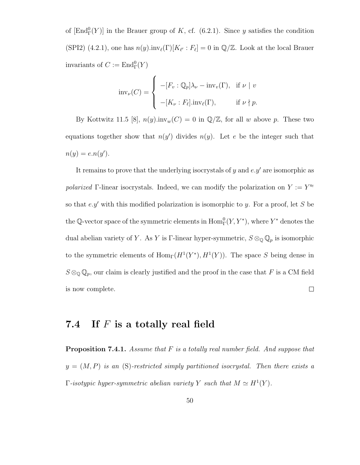of  $\left[\text{End}_{\Gamma}^{0}(Y)\right]$  in the Brauer group of K, cf. (6.2.1). Since y satisfies the condition (SPI2) (4.2.1), one has  $n(y)$ .inv $\ell(\Gamma)[K_{\ell'} : F_{\ell}] = 0$  in  $\mathbb{Q}/\mathbb{Z}$ . Look at the local Brauer invariants of  $C := \text{End}_{\Gamma}^{0}(Y)$ 

$$
\text{inv}_{\nu}(C) = \begin{cases} \ -[F_v : \mathbb{Q}_p] \lambda_{\nu} - \text{inv}_{v}(\Gamma), & \text{if } \nu \mid v \\ \ -[K_{\nu} : F_{\ell}].\text{inv}_{\ell}(\Gamma), & \text{if } \nu \nmid p. \end{cases}
$$

By Kottwitz 11.5 [8],  $n(y)$ .inv<sub>w</sub>(C) = 0 in  $\mathbb{Q}/\mathbb{Z}$ , for all w above p. These two equations together show that  $n(y')$  divides  $n(y)$ . Let e be the integer such that  $n(y) = e.n(y').$ 

It remains to prove that the underlying isocrystals of  $y$  and  $e.y'$  are isomorphic as polarized  $\Gamma$ -linear isocrystals. Indeed, we can modify the polarization on  $Y := Y'^e$ so that  $e,y'$  with this modified polarization is isomorphic to y. For a proof, let S be the Q-vector space of the symmetric elements in  $\mathrm{Hom}^0_\Gamma(Y, Y^*)$ , where  $Y^*$  denotes the dual abelian variety of Y. As Y is Γ-linear hyper-symmetric,  $S \otimes_{\mathbb{Q}} \mathbb{Q}_p$  is isomorphic to the symmetric elements of  $\text{Hom}_{\Gamma}(H^1(Y^*), H^1(Y)).$  The space S being dense in  $S \otimes_{\mathbb{Q}} \mathbb{Q}_p$ , our claim is clearly justified and the proof in the case that F is a CM field  $\Box$ is now complete.

#### 7.4 If  $F$  is a totally real field

**Proposition 7.4.1.** Assume that  $F$  is a totally real number field. And suppose that  $y = (M, P)$  is an (S)-restricted simply partitioned isocrystal. Then there exists a  $\Gamma$ -isotypic hyper-symmetric abelian variety Y such that  $M \simeq H^1(Y)$ .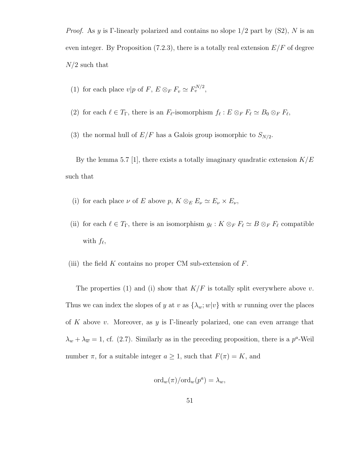*Proof.* As y is Γ-linearly polarized and contains no slope  $1/2$  part by (S2), N is an even integer. By Proposition  $(7.2.3)$ , there is a totally real extension  $E/F$  of degree  $N/2$  such that

- (1) for each place  $v|p$  of F,  $E \otimes_F F_v \simeq F_v^{N/2}$ ,
- (2) for each  $\ell \in T_{\Gamma}$ , there is an  $F_{\ell}$ -isomorphism  $f_{\ell} : E \otimes_F F_{\ell} \simeq B_0 \otimes_F F_{\ell}$ ,
- (3) the normal hull of  $E/F$  has a Galois group isomorphic to  $S_{N/2}$ .

By the lemma 5.7 [1], there exists a totally imaginary quadratic extension  $K/E$ such that

- (i) for each place  $\nu$  of E above p,  $K \otimes_E E_\nu \simeq E_\nu \times E_\nu$ ,
- (ii) for each  $\ell \in T_{\Gamma}$ , there is an isomorphism  $g_{\ell}: K \otimes_F F_{\ell} \simeq B \otimes_F F_{\ell}$  compatible with  $f_{\ell}$ ,
- (iii) the field K contains no proper CM sub-extension of  $F$ .

The properties (1) and (i) show that  $K/F$  is totally split everywhere above v. Thus we can index the slopes of y at v as  $\{\lambda_w; w|v\}$  with w running over the places of K above v. Moreover, as y is Γ-linearly polarized, one can even arrange that  $\lambda_w + \lambda_{\overline{w}} = 1$ , cf. (2.7). Similarly as in the preceding proposition, there is a  $p^a$ -Weil number  $\pi$ , for a suitable integer  $a \geq 1$ , such that  $F(\pi) = K$ , and

$$
\mathrm{ord}_w(\pi)/\mathrm{ord}_w(p^a)=\lambda_w,
$$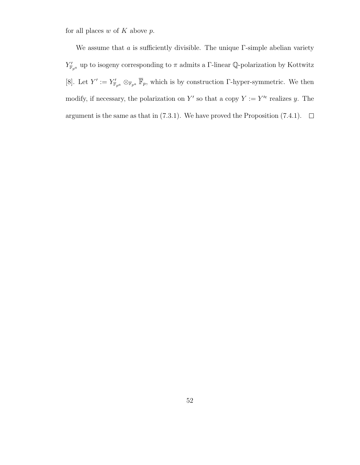for all places  $w$  of  $K$  above  $p$ .

We assume that  $a$  is sufficiently divisible. The unique  $\Gamma$ -simple abelian variety  $Y'_{\mathbb{F}_{p^a}}$  up to isogeny corresponding to  $\pi$  admits a  $\Gamma$ -linear Q-polarization by Kottwitz [8]. Let  $Y' := Y'_{\mathbb{F}_{p^a}} \otimes_{\mathbb{F}_{p^a}} \overline{\mathbb{F}}_p$ , which is by construction  $\Gamma$ -hyper-symmetric. We then modify, if necessary, the polarization on Y' so that a copy  $Y := Y'^e$  realizes y. The argument is the same as that in (7.3.1). We have proved the Proposition (7.4.1).  $\Box$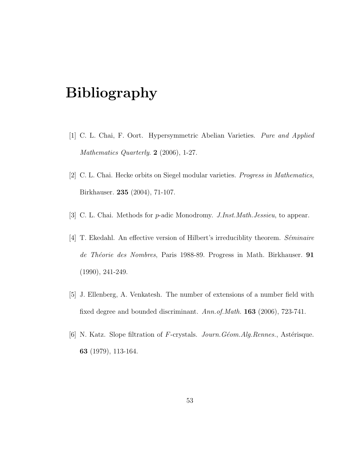## Bibliography

- [1] C. L. Chai, F. Oort. Hypersymmetric Abelian Varieties. Pure and Applied Mathematics Quarterly. 2 (2006), 1-27.
- [2] C. L. Chai. Hecke orbits on Siegel modular varieties. Progress in Mathematics, Birkhauser. 235 (2004), 71-107.
- [3] C. L. Chai. Methods for p-adic Monodromy. J.Inst.Math.Jessieu, to appear.
- [4] T. Ekedahl. An effective version of Hilbert's irreduciblity theorem. Séminaire de Théorie des Nombres, Paris 1988-89. Progress in Math. Birkhauser. 91 (1990), 241-249.
- [5] J. Ellenberg, A. Venkatesh. The number of extensions of a number field with fixed degree and bounded discriminant. Ann.of.Math. 163 (2006), 723-741.
- [6] N. Katz. Slope filtration of F-crystals.  $Journal. Geom. Alg. Rennes.$ , Astérisque. 63 (1979), 113-164.